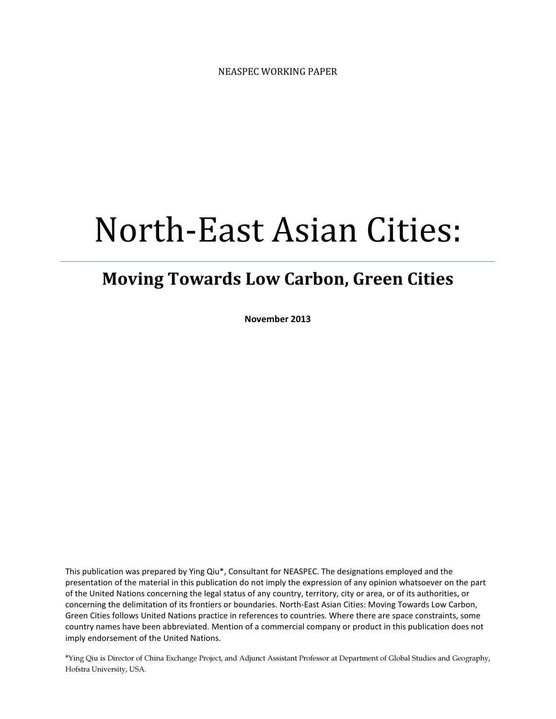# North-East Asian Cities:

# Moving Towards Low Carbon, Green Cities

November 2013

This publication was prepared by Ying Qiu\*, Consultant for NEASPEC. The designations employed and the presentation of the material in this publication do not imply the expression of any opinion whatsoever on the part of the United Nations concerning the legal status of any country, territory, city or area, or of its authorities, or concerning the delimitation of its frontiers or boundaries. North-East Asian Cities: Moving Towards Low Carbon, Green Cities follows United Nations practice in references to countries. Where there are space constraints, some country names have been abbreviated. Mention of a commercial company or product in this publication does not imply endorsement of the United Nations.

\*Ying Qiu is Director of China Exchange Project, and Adjunct Assistant Professor at Department of Global Studies and Geography, Hofstra University, USA.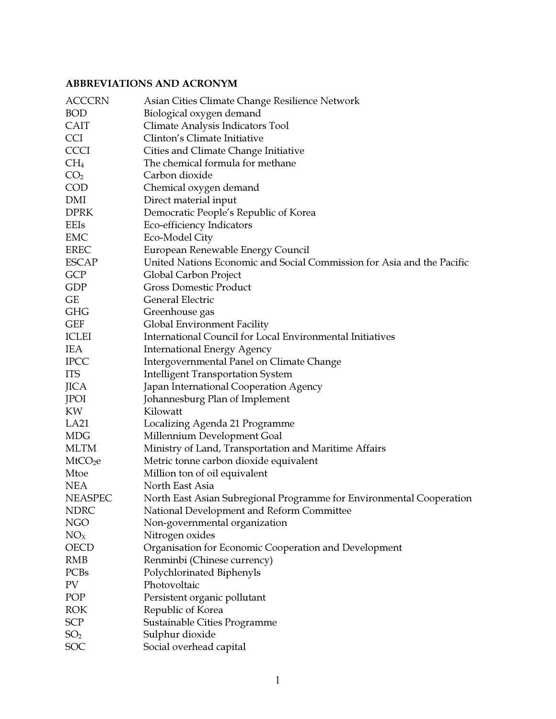#### ABBREVIATIONS AND ACRONYM

| <b>ACCCRN</b>       | Asian Cities Climate Change Resilience Network                         |
|---------------------|------------------------------------------------------------------------|
| <b>BOD</b>          | Biological oxygen demand                                               |
| <b>CAIT</b>         | Climate Analysis Indicators Tool                                       |
| <b>CCI</b>          | Clinton's Climate Initiative                                           |
| <b>CCCI</b>         | Cities and Climate Change Initiative                                   |
| $CH_4$              | The chemical formula for methane                                       |
| CO <sub>2</sub>     | Carbon dioxide                                                         |
| <b>COD</b>          | Chemical oxygen demand                                                 |
| DMI                 | Direct material input                                                  |
| <b>DPRK</b>         | Democratic People's Republic of Korea                                  |
| EEIs                | Eco-efficiency Indicators                                              |
| EMC                 | Eco-Model City                                                         |
| <b>EREC</b>         | European Renewable Energy Council                                      |
| <b>ESCAP</b>        | United Nations Economic and Social Commission for Asia and the Pacific |
| <b>GCP</b>          | Global Carbon Project                                                  |
| GDP                 | <b>Gross Domestic Product</b>                                          |
| GE                  | General Electric                                                       |
| <b>GHG</b>          | Greenhouse gas                                                         |
| <b>GEF</b>          | Global Environment Facility                                            |
| <b>ICLEI</b>        | International Council for Local Environmental Initiatives              |
| <b>IEA</b>          | <b>International Energy Agency</b>                                     |
| <b>IPCC</b>         | Intergovernmental Panel on Climate Change                              |
| <b>ITS</b>          | <b>Intelligent Transportation System</b>                               |
| <b>JICA</b>         | Japan International Cooperation Agency                                 |
| JPOI                | Johannesburg Plan of Implement                                         |
| KW                  | Kilowatt                                                               |
| LA21                | Localizing Agenda 21 Programme                                         |
| <b>MDG</b>          | Millennium Development Goal                                            |
| <b>MLTM</b>         | Ministry of Land, Transportation and Maritime Affairs                  |
| MtCO <sub>2</sub> e | Metric tonne carbon dioxide equivalent                                 |
| Mtoe                | Million ton of oil equivalent                                          |
| <b>NEA</b>          | North East Asia                                                        |
| <b>NEASPEC</b>      | North East Asian Subregional Programme for Environmental Cooperation   |
| <b>NDRC</b>         | National Development and Reform Committee                              |
| <b>NGO</b>          | Non-governmental organization                                          |
| NO <sub>X</sub>     | Nitrogen oxides                                                        |
| <b>OECD</b>         | Organisation for Economic Cooperation and Development                  |
| <b>RMB</b>          | Renminbi (Chinese currency)                                            |
| PCBs                | Polychlorinated Biphenyls                                              |
| PV                  | Photovoltaic                                                           |
| POP                 | Persistent organic pollutant                                           |
| <b>ROK</b>          | Republic of Korea                                                      |
| <b>SCP</b>          | Sustainable Cities Programme                                           |
| SO <sub>2</sub>     | Sulphur dioxide                                                        |
| SOC                 | Social overhead capital                                                |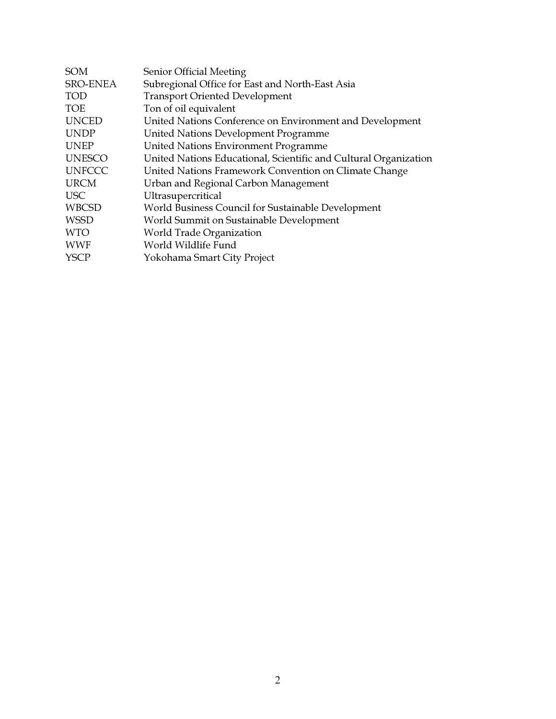| <b>SOM</b>    | Senior Official Meeting                                          |
|---------------|------------------------------------------------------------------|
| SRO-ENEA      | Subregional Office for East and North-East Asia                  |
| <b>TOD</b>    | <b>Transport Oriented Development</b>                            |
| <b>TOE</b>    | Ton of oil equivalent                                            |
| <b>UNCED</b>  | United Nations Conference on Environment and Development         |
| <b>UNDP</b>   | United Nations Development Programme                             |
| <b>UNEP</b>   | United Nations Environment Programme                             |
| <b>UNESCO</b> | United Nations Educational, Scientific and Cultural Organization |
| <b>UNFCCC</b> | United Nations Framework Convention on Climate Change            |
| <b>URCM</b>   | Urban and Regional Carbon Management                             |
| <b>USC</b>    | Ultrasupercritical                                               |
| <b>WBCSD</b>  | World Business Council for Sustainable Development               |
| <b>WSSD</b>   | World Summit on Sustainable Development                          |
| <b>WTO</b>    | World Trade Organization                                         |
| <b>WWF</b>    | World Wildlife Fund                                              |
| <b>YSCP</b>   | Yokohama Smart City Project                                      |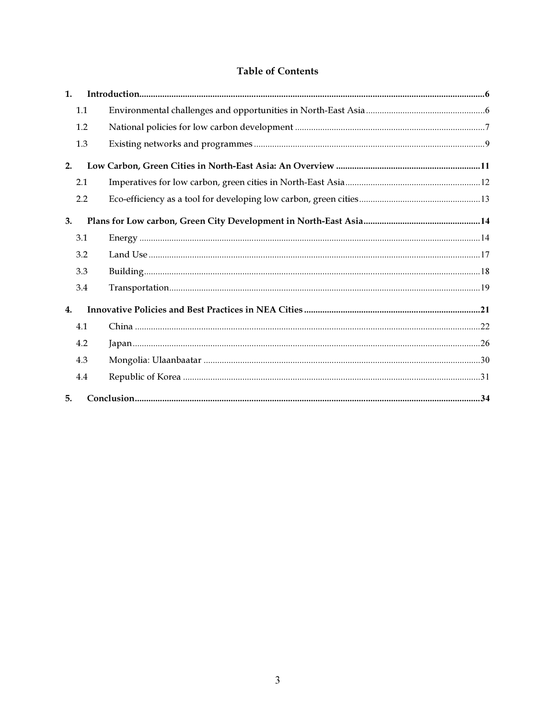#### **Table of Contents**

| $\mathbf{1}$ . |     |  |
|----------------|-----|--|
|                | 1.1 |  |
|                | 1.2 |  |
|                | 1.3 |  |
| 2.             |     |  |
|                | 2.1 |  |
|                | 2.2 |  |
| 3.             |     |  |
|                | 3.1 |  |
|                | 3.2 |  |
|                | 3.3 |  |
|                | 3.4 |  |
| 4.             |     |  |
|                | 4.1 |  |
|                | 4.2 |  |
|                | 4.3 |  |
|                | 4.4 |  |
| 5.             |     |  |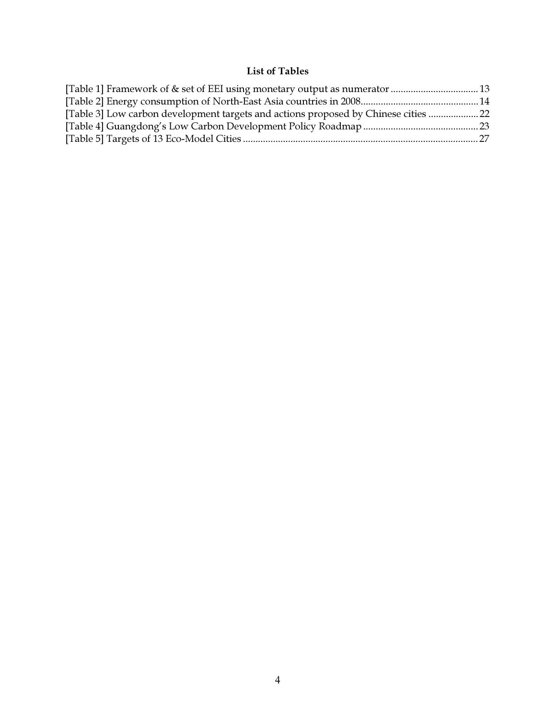#### List of Tables

| [Table 1] Framework of & set of EEI using monetary output as numerator  13          |  |
|-------------------------------------------------------------------------------------|--|
|                                                                                     |  |
| [Table 3] Low carbon development targets and actions proposed by Chinese cities  22 |  |
|                                                                                     |  |
|                                                                                     |  |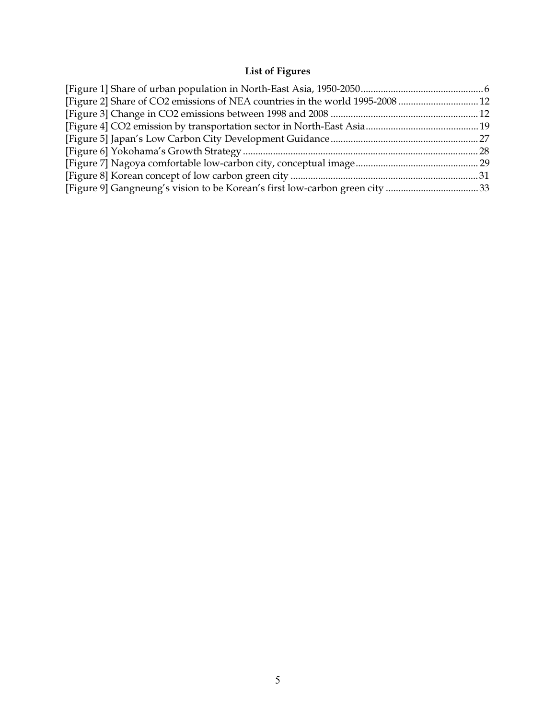# List of Figures

| [Figure 2] Share of CO2 emissions of NEA countries in the world 1995-2008  12 |  |
|-------------------------------------------------------------------------------|--|
|                                                                               |  |
|                                                                               |  |
|                                                                               |  |
|                                                                               |  |
|                                                                               |  |
|                                                                               |  |
|                                                                               |  |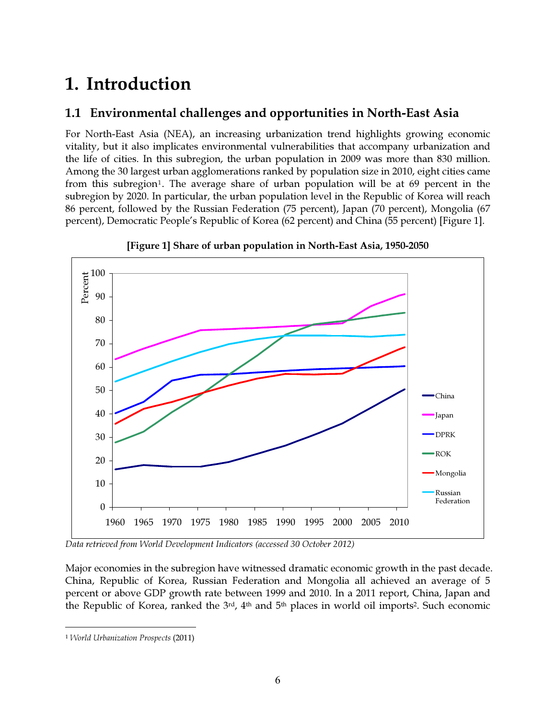# 1. Introduction

# 1.1 Environmental challenges and opportunities in North-East Asia

For North-East Asia (NEA), an increasing urbanization trend highlights growing economic vitality, but it also implicates environmental vulnerabilities that accompany urbanization and the life of cities. In this subregion, the urban population in 2009 was more than 830 million. Among the 30 largest urban agglomerations ranked by population size in 2010, eight cities came from this subregion<sup>1</sup>. The average share of urban population will be at 69 percent in the subregion by 2020. In particular, the urban population level in the Republic of Korea will reach 86 percent, followed by the Russian Federation (75 percent), Japan (70 percent), Mongolia (67 percent), Democratic People's Republic of Korea (62 percent) and China (55 percent) [Figure 1].



[Figure 1] Share of urban population in North-East Asia, 1950-2050

*Data retrieved from World Development Indicators (accessed 30 October 2012)*

Major economies in the subregion have witnessed dramatic economic growth in the past decade. China, Republic of Korea, Russian Federation and Mongolia all achieved an average of 5 percent or above GDP growth rate between 1999 and 2010. In a 2011 report, China, Japan and the Republic of Korea, ranked the 3<sup>rd</sup>, 4<sup>th</sup> and 5<sup>th</sup> places in world oil imports<sup>2</sup>. Such economic

 $\overline{a}$ 

<sup>1</sup> World Urbanization Prospects (2011)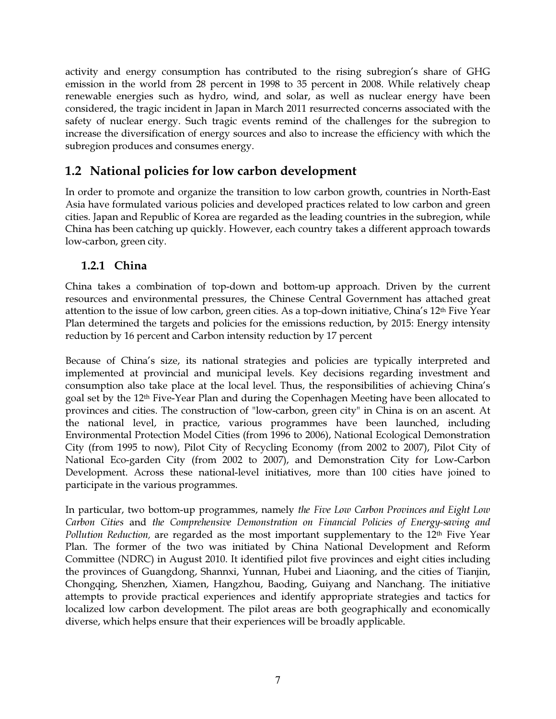activity and energy consumption has contributed to the rising subregion's share of GHG emission in the world from 28 percent in 1998 to 35 percent in 2008. While relatively cheap renewable energies such as hydro, wind, and solar, as well as nuclear energy have been considered, the tragic incident in Japan in March 2011 resurrected concerns associated with the safety of nuclear energy. Such tragic events remind of the challenges for the subregion to increase the diversification of energy sources and also to increase the efficiency with which the subregion produces and consumes energy.

# 1.2 National policies for low carbon development

In order to promote and organize the transition to low carbon growth, countries in North-East Asia have formulated various policies and developed practices related to low carbon and green cities. Japan and Republic of Korea are regarded as the leading countries in the subregion, while China has been catching up quickly. However, each country takes a different approach towards low-carbon, green city.

#### 1.2.1 China

China takes a combination of top-down and bottom-up approach. Driven by the current resources and environmental pressures, the Chinese Central Government has attached great attention to the issue of low carbon, green cities. As a top-down initiative, China's 12th Five Year Plan determined the targets and policies for the emissions reduction, by 2015: Energy intensity reduction by 16 percent and Carbon intensity reduction by 17 percent

Because of China's size, its national strategies and policies are typically interpreted and implemented at provincial and municipal levels. Key decisions regarding investment and consumption also take place at the local level. Thus, the responsibilities of achieving China's goal set by the 12<sup>th</sup> Five-Year Plan and during the Copenhagen Meeting have been allocated to provinces and cities. The construction of "low-carbon, green city" in China is on an ascent. At the national level, in practice, various programmes have been launched, including Environmental Protection Model Cities (from 1996 to 2006), National Ecological Demonstration City (from 1995 to now), Pilot City of Recycling Economy (from 2002 to 2007), Pilot City of National Eco-garden City (from 2002 to 2007), and Demonstration City for Low-Carbon Development. Across these national-level initiatives, more than 100 cities have joined to participate in the various programmes.

In particular, two bottom-up programmes, namely *the Five Low Carbon Provinces and Eight Low Carbon Cities* and *the Comprehensive Demonstration on Financial Policies of Energy-saving and Pollution Reduction,* are regarded as the most important supplementary to the 12<sup>th</sup> Five Year Plan. The former of the two was initiated by China National Development and Reform Committee (NDRC) in August 2010. It identified pilot five provinces and eight cities including the provinces of Guangdong, Shannxi, Yunnan, Hubei and Liaoning, and the cities of Tianjin, Chongqing, Shenzhen, Xiamen, Hangzhou, Baoding, Guiyang and Nanchang. The initiative attempts to provide practical experiences and identify appropriate strategies and tactics for localized low carbon development. The pilot areas are both geographically and economically diverse, which helps ensure that their experiences will be broadly applicable.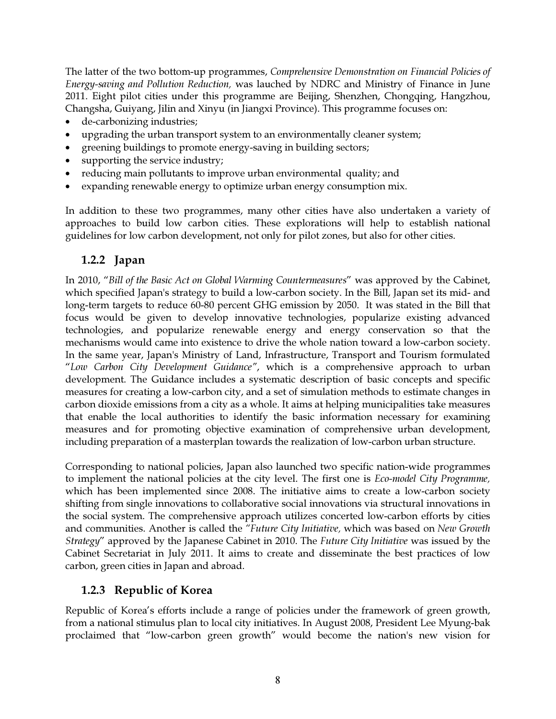The latter of the two bottom-up programmes, *Comprehensive Demonstration on Financial Policies of Energy-saving and Pollution Reduction,* was lauched by NDRC and Ministry of Finance in June 2011. Eight pilot cities under this programme are Beijing, Shenzhen, Chongqing, Hangzhou, Changsha, Guiyang, Jilin and Xinyu (in Jiangxi Province). This programme focuses on:

- de-carbonizing industries;
- upgrading the urban transport system to an environmentally cleaner system;
- greening buildings to promote energy-saving in building sectors;
- supporting the service industry;
- reducing main pollutants to improve urban environmental quality; and
- expanding renewable energy to optimize urban energy consumption mix.

In addition to these two programmes, many other cities have also undertaken a variety of approaches to build low carbon cities. These explorations will help to establish national guidelines for low carbon development, not only for pilot zones, but also for other cities.

### 1.2.2 Japan

In 2010, "*Bill of the Basic Act on Global Warming Countermeasures*" was approved by the Cabinet, which specified Japan's strategy to build a low-carbon society. In the Bill, Japan set its mid- and long-term targets to reduce 60-80 percent GHG emission by 2050. It was stated in the Bill that focus would be given to develop innovative technologies, popularize existing advanced technologies, and popularize renewable energy and energy conservation so that the mechanisms would came into existence to drive the whole nation toward a low-carbon society. In the same year, Japan's Ministry of Land, Infrastructure, Transport and Tourism formulated "*Low Carbon City Development Guidance"*, which is a comprehensive approach to urban development. The Guidance includes a systematic description of basic concepts and specific measures for creating a low-carbon city, and a set of simulation methods to estimate changes in carbon dioxide emissions from a city as a whole. It aims at helping municipalities take measures that enable the local authorities to identify the basic information necessary for examining measures and for promoting objective examination of comprehensive urban development, including preparation of a masterplan towards the realization of low-carbon urban structure.

Corresponding to national policies, Japan also launched two specific nation-wide programmes to implement the national policies at the city level. The first one is *Eco-model City Programme,*  which has been implemented since 2008. The initiative aims to create a low-carbon society shifting from single innovations to collaborative social innovations via structural innovations in the social system. The comprehensive approach utilizes concerted low-carbon efforts by cities and communities. Another is called the *"Future City Initiative,* which was based on *New Growth Strategy*" approved by the Japanese Cabinet in 2010. The *Future City Initiative* was issued by the Cabinet Secretariat in July 2011. It aims to create and disseminate the best practices of low carbon, green cities in Japan and abroad.

### 1.2.3 Republic of Korea

Republic of Korea's efforts include a range of policies under the framework of green growth, from a national stimulus plan to local city initiatives. In August 2008, President Lee Myung-bak proclaimed that "low-carbon green growth" would become the nation's new vision for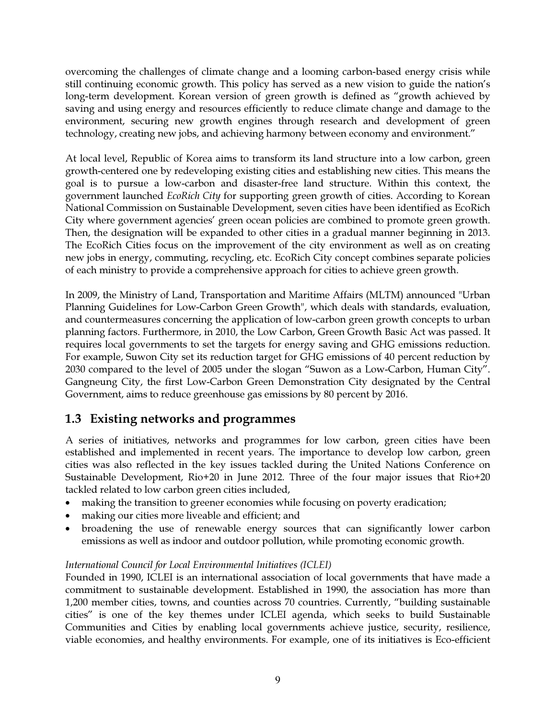overcoming the challenges of climate change and a looming carbon-based energy crisis while still continuing economic growth. This policy has served as a new vision to guide the nation's long-term development. Korean version of green growth is defined as "growth achieved by saving and using energy and resources efficiently to reduce climate change and damage to the environment, securing new growth engines through research and development of green technology, creating new jobs, and achieving harmony between economy and environment."

At local level, Republic of Korea aims to transform its land structure into a low carbon, green growth-centered one by redeveloping existing cities and establishing new cities. This means the goal is to pursue a low-carbon and disaster-free land structure. Within this context, the government launched *EcoRich City* for supporting green growth of cities. According to Korean National Commission on Sustainable Development, seven cities have been identified as EcoRich City where government agencies' green ocean policies are combined to promote green growth. Then, the designation will be expanded to other cities in a gradual manner beginning in 2013. The EcoRich Cities focus on the improvement of the city environment as well as on creating new jobs in energy, commuting, recycling, etc. EcoRich City concept combines separate policies of each ministry to provide a comprehensive approach for cities to achieve green growth.

In 2009, the Ministry of Land, Transportation and Maritime Affairs (MLTM) announced "Urban Planning Guidelines for Low-Carbon Green Growth", which deals with standards, evaluation, and countermeasures concerning the application of low-carbon green growth concepts to urban planning factors. Furthermore, in 2010, the Low Carbon, Green Growth Basic Act was passed. It requires local governments to set the targets for energy saving and GHG emissions reduction. For example, Suwon City set its reduction target for GHG emissions of 40 percent reduction by 2030 compared to the level of 2005 under the slogan "Suwon as a Low-Carbon, Human City". Gangneung City, the first Low-Carbon Green Demonstration City designated by the Central Government, aims to reduce greenhouse gas emissions by 80 percent by 2016.

# 1.3 Existing networks and programmes

A series of initiatives, networks and programmes for low carbon, green cities have been established and implemented in recent years. The importance to develop low carbon, green cities was also reflected in the key issues tackled during the United Nations Conference on Sustainable Development, Rio+20 in June 2012. Three of the four major issues that Rio+20 tackled related to low carbon green cities included,

- making the transition to greener economies while focusing on poverty eradication;
- making our cities more liveable and efficient; and
- broadening the use of renewable energy sources that can significantly lower carbon emissions as well as indoor and outdoor pollution, while promoting economic growth.

#### *International Council for Local Environmental Initiatives (ICLEI)*

Founded in 1990, ICLEI is an international association of local governments that have made a commitment to sustainable development. Established in 1990, the association has more than 1,200 member cities, towns, and counties across 70 countries. Currently, "building sustainable cities" is one of the key themes under ICLEI agenda, which seeks to build Sustainable Communities and Cities by enabling local governments achieve justice, security, resilience, viable economies, and healthy environments. For example, one of its initiatives is Eco-efficient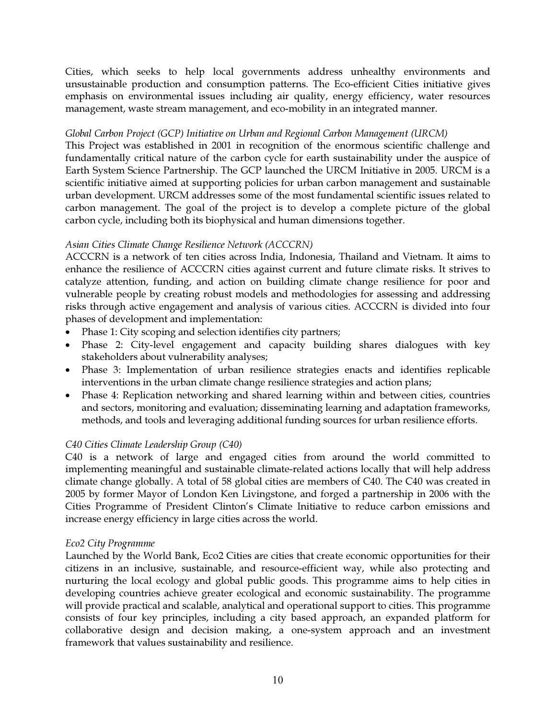Cities, which seeks to help local governments address unhealthy environments and unsustainable production and consumption patterns. The Eco-efficient Cities initiative gives emphasis on environmental issues including air quality, energy efficiency, water resources management, waste stream management, and eco-mobility in an integrated manner.

#### *Global Carbon Project (GCP) Initiative on Urban and Regional Carbon Management (URCM)*

This Project was established in 2001 in recognition of the enormous scientific challenge and fundamentally critical nature of the carbon cycle for earth sustainability under the auspice of Earth System Science Partnership. The GCP launched the URCM Initiative in 2005. URCM is a scientific initiative aimed at supporting policies for urban carbon management and sustainable urban development. URCM addresses some of the most fundamental scientific issues related to carbon management. The goal of the project is to develop a complete picture of the global carbon cycle, including both its biophysical and human dimensions together.

#### *Asian Cities Climate Change Resilience Network (ACCCRN)*

ACCCRN is a network of ten cities across India, Indonesia, Thailand and Vietnam. It aims to enhance the resilience of ACCCRN cities against current and future climate risks. It strives to catalyze attention, funding, and action on building climate change resilience for poor and vulnerable people by creating robust models and methodologies for assessing and addressing risks through active engagement and analysis of various cities. ACCCRN is divided into four phases of development and implementation:

- Phase 1: City scoping and selection identifies city partners;
- Phase 2: City-level engagement and capacity building shares dialogues with key stakeholders about vulnerability analyses;
- Phase 3: Implementation of urban resilience strategies enacts and identifies replicable interventions in the urban climate change resilience strategies and action plans;
- Phase 4: Replication networking and shared learning within and between cities, countries and sectors, monitoring and evaluation; disseminating learning and adaptation frameworks, methods, and tools and leveraging additional funding sources for urban resilience efforts.

#### *C40 Cities Climate Leadership Group (C40)*

C40 is a network of large and engaged cities from around the world committed to implementing meaningful and sustainable climate-related actions locally that will help address climate change globally. A total of 58 global cities are members of C40. The C40 was created in 2005 by former Mayor of London Ken Livingstone, and forged a partnership in 2006 with the Cities Programme of President Clinton's Climate Initiative to reduce carbon emissions and increase energy efficiency in large cities across the world.

#### *Eco2 City Programme*

Launched by the World Bank, Eco2 Cities are cities that create economic opportunities for their citizens in an inclusive, sustainable, and resource-efficient way, while also protecting and nurturing the local ecology and global public goods. This programme aims to help cities in developing countries achieve greater ecological and economic sustainability. The programme will provide practical and scalable, analytical and operational support to cities. This programme consists of four key principles, including a city based approach, an expanded platform for collaborative design and decision making, a one-system approach and an investment framework that values sustainability and resilience.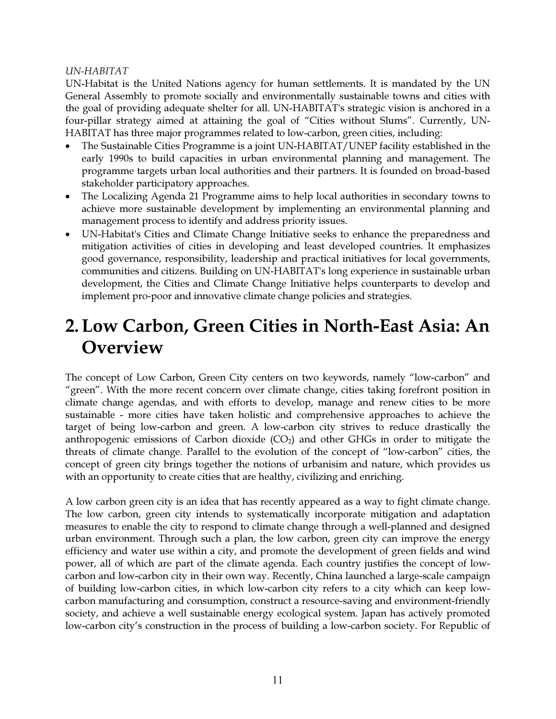#### *UN-HABITAT*

UN-Habitat is the United Nations agency for human settlements. It is mandated by the UN General Assembly to promote socially and environmentally sustainable towns and cities with the goal of providing adequate shelter for all. UN-HABITAT's strategic vision is anchored in a four-pillar strategy aimed at attaining the goal of "Cities without Slums". Currently, UN-HABITAT has three major programmes related to low-carbon, green cities, including:

- The Sustainable Cities Programme is a joint UN-HABITAT/UNEP facility established in the early 1990s to build capacities in urban environmental planning and management. The programme targets urban local authorities and their partners. It is founded on broad-based stakeholder participatory approaches.
- The Localizing Agenda 21 Programme aims to help local authorities in secondary towns to achieve more sustainable development by implementing an environmental planning and management process to identify and address priority issues.
- UN-Habitat's Cities and Climate Change Initiative seeks to enhance the preparedness and mitigation activities of cities in developing and least developed countries. It emphasizes good governance, responsibility, leadership and practical initiatives for local governments, communities and citizens. Building on UN-HABITAT's long experience in sustainable urban development, the Cities and Climate Change Initiative helps counterparts to develop and implement pro-poor and innovative climate change policies and strategies.

# 2.Low Carbon, Green Cities in North-East Asia: An **Overview**

The concept of Low Carbon, Green City centers on two keywords, namely "low-carbon" and "green". With the more recent concern over climate change, cities taking forefront position in climate change agendas, and with efforts to develop, manage and renew cities to be more sustainable - more cities have taken holistic and comprehensive approaches to achieve the target of being low-carbon and green. A low-carbon city strives to reduce drastically the anthropogenic emissions of Carbon dioxide  $(CO<sub>2</sub>)$  and other GHGs in order to mitigate the threats of climate change. Parallel to the evolution of the concept of "low-carbon" cities, the concept of green city brings together the notions of urbanisim and nature, which provides us with an opportunity to create cities that are healthy, civilizing and enriching.

A low carbon green city is an idea that has recently appeared as a way to fight climate change. The low carbon, green city intends to systematically incorporate mitigation and adaptation measures to enable the city to respond to climate change through a well-planned and designed urban environment. Through such a plan, the low carbon, green city can improve the energy efficiency and water use within a city, and promote the development of green fields and wind power, all of which are part of the climate agenda. Each country justifies the concept of lowcarbon and low-carbon city in their own way. Recently, China launched a large-scale campaign of building low-carbon cities, in which low-carbon city refers to a city which can keep lowcarbon manufacturing and consumption, construct a resource-saving and environment-friendly society, and achieve a well sustainable energy ecological system. Japan has actively promoted low-carbon city's construction in the process of building a low-carbon society. For Republic of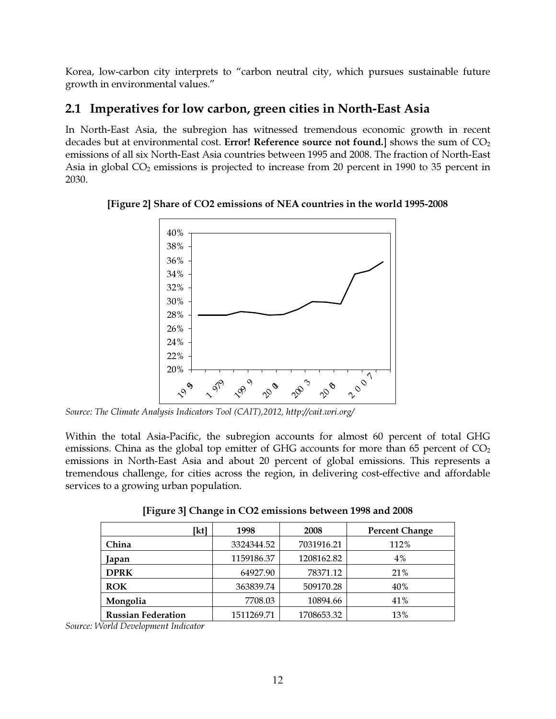Korea, low-carbon city interprets to "carbon neutral city, which pursues sustainable future growth in environmental values."

# 2.1 Imperatives for low carbon, green cities in North-East Asia

In North-East Asia, the subregion has witnessed tremendous economic growth in recent decades but at environmental cost. Error! Reference source not found.] shows the sum of  $CO<sub>2</sub>$ emissions of all six North-East Asia countries between 1995 and 2008. The fraction of North-East Asia in global  $CO<sub>2</sub>$  emissions is projected to increase from 20 percent in 1990 to 35 percent in 2030.



[Figure 2] Share of CO2 emissions of NEA countries in the world 1995-2008

*Source: The Climate Analysis Indicators Tool (CAIT),2012, http://cait.wri.org/* 

Within the total Asia-Pacific, the subregion accounts for almost 60 percent of total GHG emissions. China as the global top emitter of GHG accounts for more than  $65$  percent of  $CO<sub>2</sub>$ emissions in North-East Asia and about 20 percent of global emissions. This represents a tremendous challenge, for cities across the region, in delivering cost-effective and affordable services to a growing urban population.

[Figure 3] Change in CO2 emissions between 1998 and 2008

| [kt]                      | 1998       | 2008       | <b>Percent Change</b> |
|---------------------------|------------|------------|-----------------------|
| China                     | 3324344.52 | 7031916.21 | 112%                  |
| Japan                     | 1159186.37 | 1208162.82 | 4%                    |
| <b>DPRK</b>               | 64927.90   | 78371.12   | 21%                   |
| <b>ROK</b>                | 363839.74  | 509170.28  | 40%                   |
| Mongolia                  | 7708.03    | 10894.66   | 41%                   |
| <b>Russian Federation</b> | 1511269.71 | 1708653.32 | 13%                   |

*Source: World Development Indicator*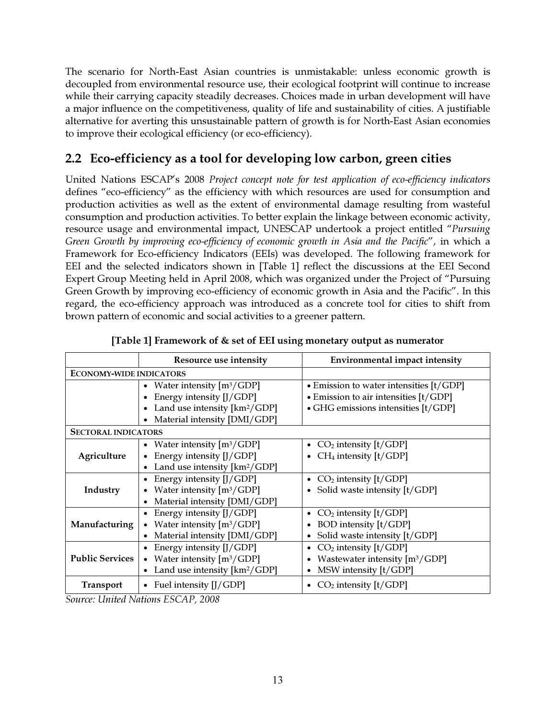The scenario for North-East Asian countries is unmistakable: unless economic growth is decoupled from environmental resource use, their ecological footprint will continue to increase while their carrying capacity steadily decreases. Choices made in urban development will have a major influence on the competitiveness, quality of life and sustainability of cities. A justifiable alternative for averting this unsustainable pattern of growth is for North-East Asian economies to improve their ecological efficiency (or eco-efficiency).

# 2.2 Eco-efficiency as a tool for developing low carbon, green cities

United Nations ESCAP's 2008 *Project concept note for test application of eco-efficiency indicators* defines "eco-efficiency" as the efficiency with which resources are used for consumption and production activities as well as the extent of environmental damage resulting from wasteful consumption and production activities. To better explain the linkage between economic activity, resource usage and environmental impact, UNESCAP undertook a project entitled "*Pursuing Green Growth by improving eco-efficiency of economic growth in Asia and the Pacific*", in which a Framework for Eco-efficiency Indicators (EEIs) was developed. The following framework for EEI and the selected indicators shown in [Table 1] reflect the discussions at the EEI Second Expert Group Meeting held in April 2008, which was organized under the Project of "Pursuing Green Growth by improving eco-efficiency of economic growth in Asia and the Pacific". In this regard, the eco-efficiency approach was introduced as a concrete tool for cities to shift from brown pattern of economic and social activities to a greener pattern.

|                                | Resource use intensity                    | <b>Environmental impact intensity</b>         |  |
|--------------------------------|-------------------------------------------|-----------------------------------------------|--|
| <b>ECONOMY-WIDE INDICATORS</b> |                                           |                                               |  |
|                                | Water intensity $[m^3/GDP]$               | • Emission to water intensities $[t/GDP]$     |  |
|                                | Energy intensity [J/GDP]                  | $\bullet$ Emission to air intensities [t/GDP] |  |
|                                | Land use intensity [km <sup>2</sup> /GDP] | • GHG emissions intensities [t/GDP]           |  |
|                                | Material intensity [DMI/GDP]              |                                               |  |
| <b>SECTORAL INDICATORS</b>     |                                           |                                               |  |
|                                | • Water intensity $[m^3/GDP]$             | • $CO2$ intensity [t/GDP]                     |  |
| Agriculture                    | Energy intensity [J/GDP]                  | • CH <sub>4</sub> intensity $[t/GDP]$         |  |
|                                | Land use intensity [km <sup>2</sup> /GDP] |                                               |  |
|                                | Energy intensity [J/GDP]                  | • $CO2$ intensity [t/GDP]                     |  |
| Industry                       | Water intensity $[m^3/GDP]$               | • Solid waste intensity [t/GDP]               |  |
|                                | Material intensity [DMI/GDP]              |                                               |  |
|                                | Energy intensity [J/GDP]                  | $CO2$ intensity [t/GDP]                       |  |
| Manufacturing                  | Water intensity $[m^3/GDP]$<br>$\bullet$  | <b>BOD</b> intensity [t/GDP]                  |  |
|                                | Material intensity [DMI/GDP]              | • Solid waste intensity [t/GDP]               |  |
|                                | Energy intensity [J/GDP]                  | • $CO2$ intensity [t/GDP]                     |  |
| <b>Public Services</b>         | • Water intensity $[m^3/GDP]$             | Wastewater intensity [m <sup>3</sup> /GDP]    |  |
|                                | Land use intensity $[km^2/GDP]$           | • MSW intensity $[t/GDP]$                     |  |
| <b>Transport</b>               | • Fuel intensity $[J/GDP]$                | $CO2$ intensity [t/GDP]                       |  |

|  | [Table 1] Framework of & set of EEI using monetary output as numerator |
|--|------------------------------------------------------------------------|
|  |                                                                        |

*Source: United Nations ESCAP, 2008*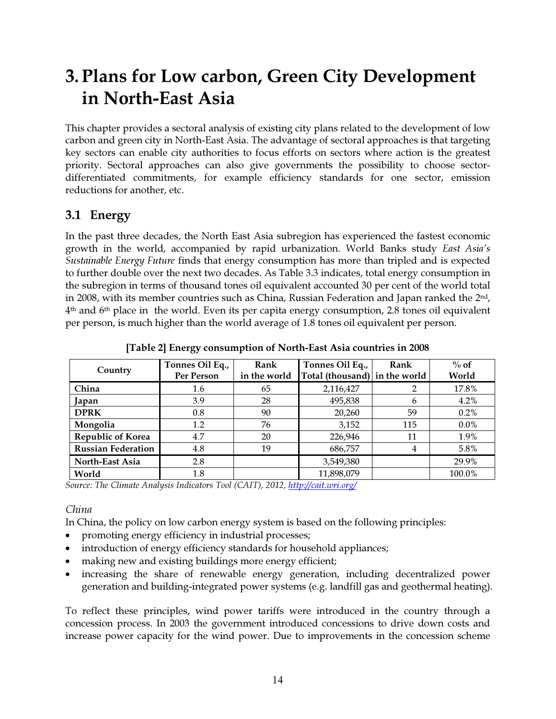# 3.Plans for Low carbon, Green City Development in North-East Asia

This chapter provides a sectoral analysis of existing city plans related to the development of low carbon and green city in North-East Asia. The advantage of sectoral approaches is that targeting key sectors can enable city authorities to focus efforts on sectors where action is the greatest priority. Sectoral approaches can also give governments the possibility to choose sectordifferentiated commitments, for example efficiency standards for one sector, emission reductions for another, etc.

# 3.1 Energy

In the past three decades, the North East Asia subregion has experienced the fastest economic growth in the world, accompanied by rapid urbanization. World Banks study *East Asia's Sustainable Energy Future* finds that energy consumption has more than tripled and is expected to further double over the next two decades. As Table 3.3 indicates, total energy consumption in the subregion in terms of thousand tones oil equivalent accounted 30 per cent of the world total in 2008, with its member countries such as China, Russian Federation and Japan ranked the  $2<sup>nd</sup>$ , 4th and 6th place in the world. Even its per capita energy consumption, 2.8 tones oil equivalent per person, is much higher than the world average of 1.8 tones oil equivalent per person.

| Country                   | Tonnes Oil Eq.,<br>Per Person | Rank<br>in the world | Tonnes Oil Eq.,<br>Total (thousand) in the world | Rank | $\%$ of<br>World |
|---------------------------|-------------------------------|----------------------|--------------------------------------------------|------|------------------|
| China                     | 1.6                           | 65                   | 2,116,427                                        | າ    | 17.8%            |
| Japan                     | 3.9                           | 28                   | 495,838                                          | 6    | 4.2%             |
| <b>DPRK</b>               | 0.8                           | 90                   | 20,260                                           | 59   | 0.2%             |
| Mongolia                  | $1.2\,$                       | 76                   | 3,152                                            | 115  | $0.0\%$          |
| <b>Republic of Korea</b>  | 4.7                           | 20                   | 226,946                                          | 11   | 1.9%             |
| <b>Russian Federation</b> | 4.8                           | 19                   | 686,757                                          | 4    | 5.8%             |
| North-East Asia           | 2.8                           |                      | 3,549,380                                        |      | 29.9%            |
| World                     | 1.8                           |                      | 11,898,079                                       |      | 100.0%           |

[Table 2] Energy consumption of North-East Asia countries in 2008

*Source: The Climate Analysis Indicators Tool (CAIT), 2012, http://cait.wri.org/*

#### China

In China, the policy on low carbon energy system is based on the following principles:

- promoting energy efficiency in industrial processes;
- introduction of energy efficiency standards for household appliances;
- making new and existing buildings more energy efficient;
- increasing the share of renewable energy generation, including decentralized power generation and building-integrated power systems (e.g. landfill gas and geothermal heating).

To reflect these principles, wind power tariffs were introduced in the country through a concession process. In 2003 the government introduced concessions to drive down costs and increase power capacity for the wind power. Due to improvements in the concession scheme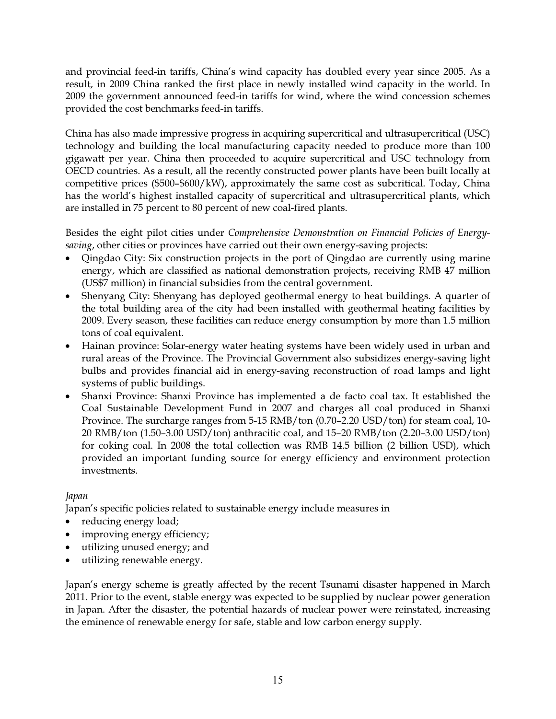and provincial feed-in tariffs, China's wind capacity has doubled every year since 2005. As a result, in 2009 China ranked the first place in newly installed wind capacity in the world. In 2009 the government announced feed-in tariffs for wind, where the wind concession schemes provided the cost benchmarks feed-in tariffs.

China has also made impressive progress in acquiring supercritical and ultrasupercritical (USC) technology and building the local manufacturing capacity needed to produce more than 100 gigawatt per year. China then proceeded to acquire supercritical and USC technology from OECD countries. As a result, all the recently constructed power plants have been built locally at competitive prices (\$500–\$600/kW), approximately the same cost as subcritical. Today, China has the world's highest installed capacity of supercritical and ultrasupercritical plants, which are installed in 75 percent to 80 percent of new coal-fired plants.

Besides the eight pilot cities under *Comprehensive Demonstration on Financial Policies of Energysaving*, other cities or provinces have carried out their own energy-saving projects:

- Qingdao City: Six construction projects in the port of Qingdao are currently using marine energy, which are classified as national demonstration projects, receiving RMB 47 million (US\$7 million) in financial subsidies from the central government.
- Shenyang City: Shenyang has deployed geothermal energy to heat buildings. A quarter of the total building area of the city had been installed with geothermal heating facilities by 2009. Every season, these facilities can reduce energy consumption by more than 1.5 million tons of coal equivalent.
- Hainan province: Solar-energy water heating systems have been widely used in urban and rural areas of the Province. The Provincial Government also subsidizes energy-saving light bulbs and provides financial aid in energy-saving reconstruction of road lamps and light systems of public buildings.
- Shanxi Province: Shanxi Province has implemented a de facto coal tax. It established the Coal Sustainable Development Fund in 2007 and charges all coal produced in Shanxi Province. The surcharge ranges from 5-15 RMB/ton (0.70–2.20 USD/ton) for steam coal, 10- 20 RMB/ton (1.50–3.00 USD/ton) anthracitic coal, and 15–20 RMB/ton (2.20–3.00 USD/ton) for coking coal. In 2008 the total collection was RMB 14.5 billion (2 billion USD), which provided an important funding source for energy efficiency and environment protection investments.

#### *Japan*

Japan's specific policies related to sustainable energy include measures in

- reducing energy load;
- improving energy efficiency;
- utilizing unused energy; and
- utilizing renewable energy.

Japan's energy scheme is greatly affected by the recent Tsunami disaster happened in March 2011. Prior to the event, stable energy was expected to be supplied by nuclear power generation in Japan. After the disaster, the potential hazards of nuclear power were reinstated, increasing the eminence of renewable energy for safe, stable and low carbon energy supply.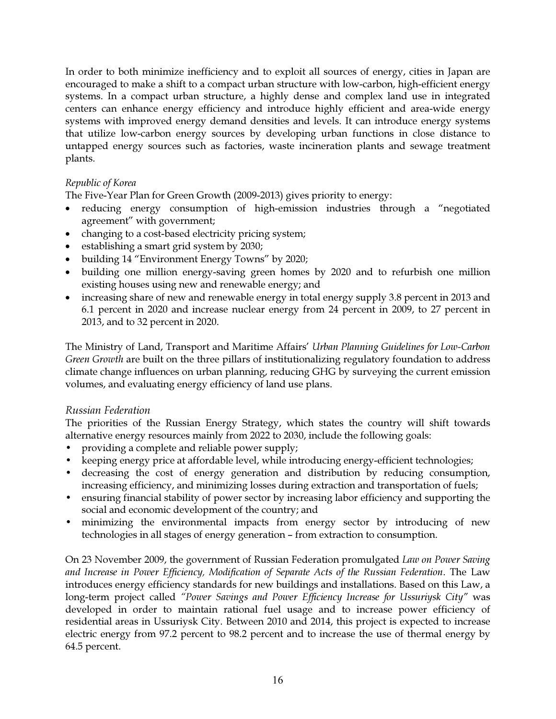In order to both minimize inefficiency and to exploit all sources of energy, cities in Japan are encouraged to make a shift to a compact urban structure with low-carbon, high-efficient energy systems. In a compact urban structure, a highly dense and complex land use in integrated centers can enhance energy efficiency and introduce highly efficient and area-wide energy systems with improved energy demand densities and levels. It can introduce energy systems that utilize low-carbon energy sources by developing urban functions in close distance to untapped energy sources such as factories, waste incineration plants and sewage treatment plants.

#### *Republic of Korea*

The Five-Year Plan for Green Growth (2009-2013) gives priority to energy:

- reducing energy consumption of high-emission industries through a "negotiated agreement" with government;
- changing to a cost-based electricity pricing system;
- establishing a smart grid system by 2030;
- building 14 "Environment Energy Towns" by 2020;
- building one million energy-saving green homes by 2020 and to refurbish one million existing houses using new and renewable energy; and
- increasing share of new and renewable energy in total energy supply 3.8 percent in 2013 and 6.1 percent in 2020 and increase nuclear energy from 24 percent in 2009, to 27 percent in 2013, and to 32 percent in 2020.

The Ministry of Land, Transport and Maritime Affairs' *Urban Planning Guidelines for Low-Carbon Green Growth* are built on the three pillars of institutionalizing regulatory foundation to address climate change influences on urban planning, reducing GHG by surveying the current emission volumes, and evaluating energy efficiency of land use plans.

#### Russian Federation

The priorities of the Russian Energy Strategy, which states the country will shift towards alternative energy resources mainly from 2022 to 2030, include the following goals:

- providing a complete and reliable power supply;
- keeping energy price at affordable level, while introducing energy-efficient technologies;
- decreasing the cost of energy generation and distribution by reducing consumption, increasing efficiency, and minimizing losses during extraction and transportation of fuels;
- ensuring financial stability of power sector by increasing labor efficiency and supporting the social and economic development of the country; and
- minimizing the environmental impacts from energy sector by introducing of new technologies in all stages of energy generation – from extraction to consumption.

On 23 November 2009, the government of Russian Federation promulgated *Law on Power Saving and Increase in Power Efficiency, Modification of Separate Acts of the Russian Federation*. The Law introduces energy efficiency standards for new buildings and installations. Based on this Law, a long-term project called *"Power Savings and Power Efficiency Increase for Ussuriysk City"* was developed in order to maintain rational fuel usage and to increase power efficiency of residential areas in Ussuriysk City. Between 2010 and 2014, this project is expected to increase electric energy from 97.2 percent to 98.2 percent and to increase the use of thermal energy by 64.5 percent.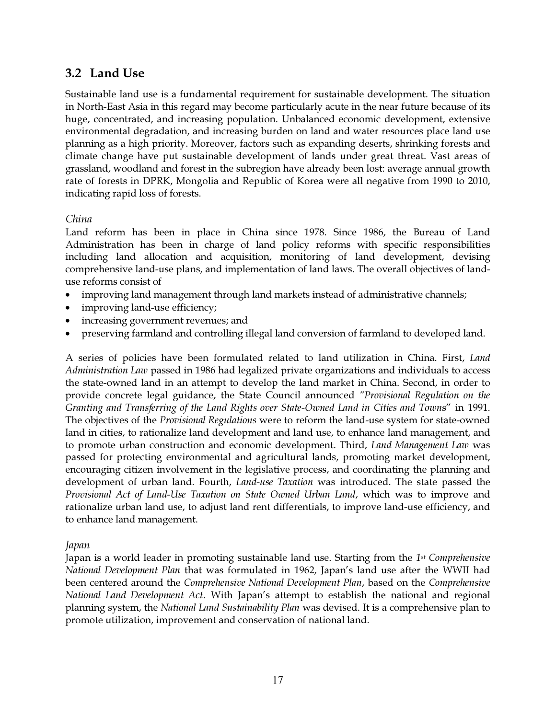### 3.2 Land Use

Sustainable land use is a fundamental requirement for sustainable development. The situation in North-East Asia in this regard may become particularly acute in the near future because of its huge, concentrated, and increasing population. Unbalanced economic development, extensive environmental degradation, and increasing burden on land and water resources place land use planning as a high priority. Moreover, factors such as expanding deserts, shrinking forests and climate change have put sustainable development of lands under great threat. Vast areas of grassland, woodland and forest in the subregion have already been lost: average annual growth rate of forests in DPRK, Mongolia and Republic of Korea were all negative from 1990 to 2010, indicating rapid loss of forests.

#### China

Land reform has been in place in China since 1978. Since 1986, the Bureau of Land Administration has been in charge of land policy reforms with specific responsibilities including land allocation and acquisition, monitoring of land development, devising comprehensive land-use plans, and implementation of land laws. The overall objectives of landuse reforms consist of

- improving land management through land markets instead of administrative channels;
- improving land-use efficiency;
- increasing government revenues; and
- preserving farmland and controlling illegal land conversion of farmland to developed land.

A series of policies have been formulated related to land utilization in China. First, *Land Administration Law* passed in 1986 had legalized private organizations and individuals to access the state-owned land in an attempt to develop the land market in China. Second, in order to provide concrete legal guidance, the State Council announced *"Provisional Regulation on the Granting and Transferring of the Land Rights over State-Owned Land in Cities and Town*s" in 1991. The objectives of the *Provisional Regulations* were to reform the land-use system for state-owned land in cities, to rationalize land development and land use, to enhance land management, and to promote urban construction and economic development. Third, *Land Management Law* was passed for protecting environmental and agricultural lands, promoting market development, encouraging citizen involvement in the legislative process, and coordinating the planning and development of urban land. Fourth, *Land-use Taxation* was introduced. The state passed the *Provisional Act of Land-Use Taxation on State Owned Urban Land*, which was to improve and rationalize urban land use, to adjust land rent differentials, to improve land-use efficiency, and to enhance land management.

#### Japan

Japan is a world leader in promoting sustainable land use. Starting from the *1*st *Comprehensive National Development Plan* that was formulated in 1962, Japan's land use after the WWII had been centered around the *Comprehensive National Development Plan*, based on the *Comprehensive National Land Development Act*. With Japan's attempt to establish the national and regional planning system, the *National Land Sustainability Plan* was devised. It is a comprehensive plan to promote utilization, improvement and conservation of national land.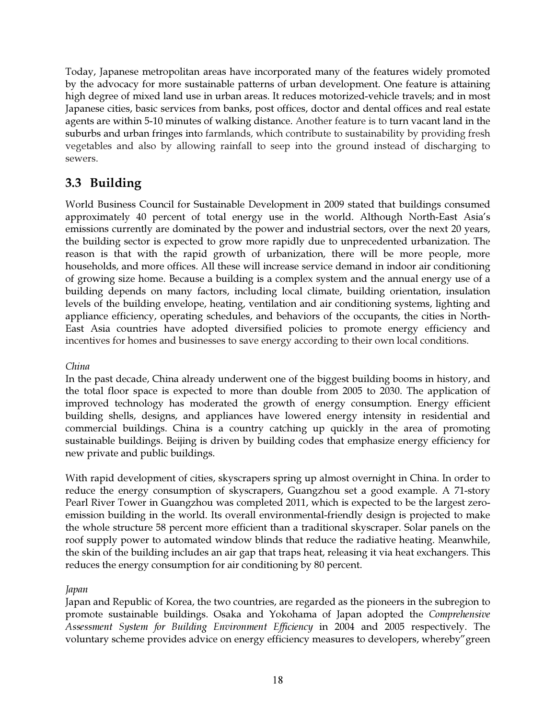Today, Japanese metropolitan areas have incorporated many of the features widely promoted by the advocacy for more sustainable patterns of urban development. One feature is attaining high degree of mixed land use in urban areas. It reduces motorized-vehicle travels; and in most Japanese cities, basic services from banks, post offices, doctor and dental offices and real estate agents are within 5-10 minutes of walking distance. Another feature is to turn vacant land in the suburbs and urban fringes into farmlands, which contribute to sustainability by providing fresh vegetables and also by allowing rainfall to seep into the ground instead of discharging to sewers.

# 3.3 Building

World Business Council for Sustainable Development in 2009 stated that buildings consumed approximately 40 percent of total energy use in the world. Although North-East Asia's emissions currently are dominated by the power and industrial sectors, over the next 20 years, the building sector is expected to grow more rapidly due to unprecedented urbanization. The reason is that with the rapid growth of urbanization, there will be more people, more households, and more offices. All these will increase service demand in indoor air conditioning of growing size home. Because a building is a complex system and the annual energy use of a building depends on many factors, including local climate, building orientation, insulation levels of the building envelope, heating, ventilation and air conditioning systems, lighting and appliance efficiency, operating schedules, and behaviors of the occupants, the cities in North-East Asia countries have adopted diversified policies to promote energy efficiency and incentives for homes and businesses to save energy according to their own local conditions.

#### *China*

In the past decade, China already underwent one of the biggest building booms in history, and the total floor space is expected to more than double from 2005 to 2030. The application of improved technology has moderated the growth of energy consumption. Energy efficient building shells, designs, and appliances have lowered energy intensity in residential and commercial buildings. China is a country catching up quickly in the area of promoting sustainable buildings. Beijing is driven by building codes that emphasize energy efficiency for new private and public buildings.

With rapid development of cities, skyscrapers spring up almost overnight in China. In order to reduce the energy consumption of skyscrapers, Guangzhou set a good example. A 71-story Pearl River Tower in Guangzhou was completed 2011, which is expected to be the largest zeroemission building in the world. Its overall environmental-friendly design is projected to make the whole structure 58 percent more efficient than a traditional skyscraper. Solar panels on the roof supply power to automated window blinds that reduce the radiative heating. Meanwhile, the skin of the building includes an air gap that traps heat, releasing it via heat exchangers. This reduces the energy consumption for air conditioning by 80 percent.

#### *Japan*

Japan and Republic of Korea, the two countries, are regarded as the pioneers in the subregion to promote sustainable buildings. Osaka and Yokohama of Japan adopted the *Comprehensive Assessment System for Building Environment Efficiency* in 2004 and 2005 respectively. The voluntary scheme provides advice on energy efficiency measures to developers, whereby"green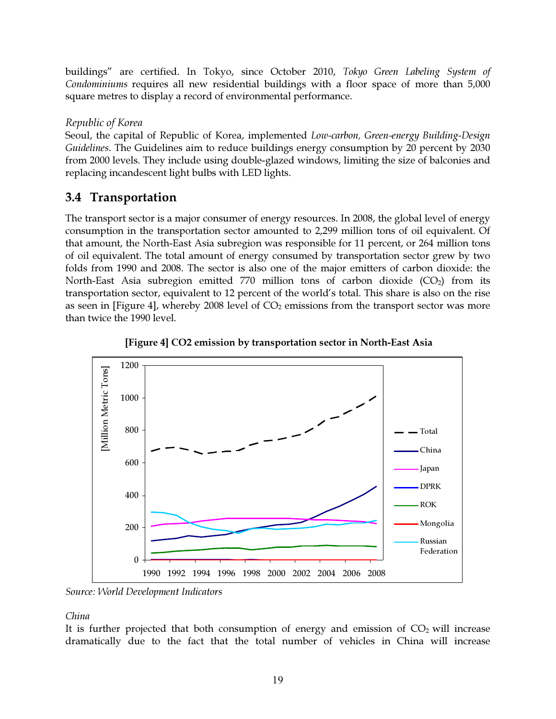buildings" are certified. In Tokyo, since October 2010, *Tokyo Green Labeling System of Condominiums* requires all new residential buildings with a floor space of more than 5,000 square metres to display a record of environmental performance.

#### Republic of Korea

Seoul, the capital of Republic of Korea, implemented *Low-carbon, Green-energy Building-Design Guidelines*. The Guidelines aim to reduce buildings energy consumption by 20 percent by 2030 from 2000 levels. They include using double-glazed windows, limiting the size of balconies and replacing incandescent light bulbs with LED lights.

# 3.4 Transportation

The transport sector is a major consumer of energy resources. In 2008, the global level of energy consumption in the transportation sector amounted to 2,299 million tons of oil equivalent. Of that amount, the North-East Asia subregion was responsible for 11 percent, or 264 million tons of oil equivalent. The total amount of energy consumed by transportation sector grew by two folds from 1990 and 2008. The sector is also one of the major emitters of carbon dioxide: the North-East Asia subregion emitted 770 million tons of carbon dioxide  $(CO<sub>2</sub>)$  from its transportation sector, equivalent to 12 percent of the world's total. This share is also on the rise as seen in [Figure 4], whereby 2008 level of  $CO<sub>2</sub>$  emissions from the transport sector was more than twice the 1990 level.





*Source: World Development Indicators* 

*China*

It is further projected that both consumption of energy and emission of  $CO<sub>2</sub>$  will increase dramatically due to the fact that the total number of vehicles in China will increase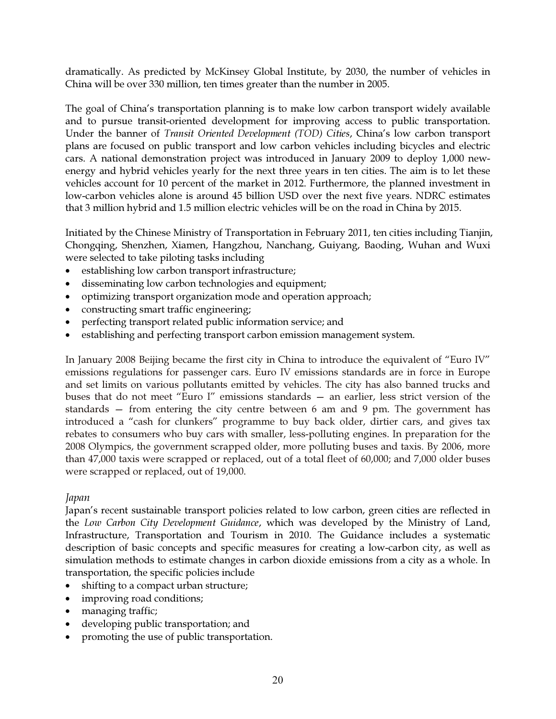dramatically. As predicted by McKinsey Global Institute, by 2030, the number of vehicles in China will be over 330 million, ten times greater than the number in 2005.

The goal of China's transportation planning is to make low carbon transport widely available and to pursue transit-oriented development for improving access to public transportation. Under the banner of *Transit Oriented Development (TOD) Cities*, China's low carbon transport plans are focused on public transport and low carbon vehicles including bicycles and electric cars. A national demonstration project was introduced in January 2009 to deploy 1,000 newenergy and hybrid vehicles yearly for the next three years in ten cities. The aim is to let these vehicles account for 10 percent of the market in 2012. Furthermore, the planned investment in low-carbon vehicles alone is around 45 billion USD over the next five years. NDRC estimates that 3 million hybrid and 1.5 million electric vehicles will be on the road in China by 2015.

Initiated by the Chinese Ministry of Transportation in February 2011, ten cities including Tianjin, Chongqing, Shenzhen, Xiamen, Hangzhou, Nanchang, Guiyang, Baoding, Wuhan and Wuxi were selected to take piloting tasks including

- establishing low carbon transport infrastructure;
- disseminating low carbon technologies and equipment;
- optimizing transport organization mode and operation approach;
- constructing smart traffic engineering;
- perfecting transport related public information service; and
- establishing and perfecting transport carbon emission management system.

In January 2008 Beijing became the first city in China to introduce the equivalent of "Euro IV" emissions regulations for passenger cars. Euro IV emissions standards are in force in Europe and set limits on various pollutants emitted by vehicles. The city has also banned trucks and buses that do not meet "Euro I" emissions standards — an earlier, less strict version of the standards — from entering the city centre between 6 am and 9 pm. The government has introduced a "cash for clunkers" programme to buy back older, dirtier cars, and gives tax rebates to consumers who buy cars with smaller, less-polluting engines. In preparation for the 2008 Olympics, the government scrapped older, more polluting buses and taxis. By 2006, more than 47,000 taxis were scrapped or replaced, out of a total fleet of 60,000; and 7,000 older buses were scrapped or replaced, out of 19,000.

#### Japan

Japan's recent sustainable transport policies related to low carbon, green cities are reflected in the *Low Carbon City Development Guidance*, which was developed by the Ministry of Land, Infrastructure, Transportation and Tourism in 2010. The Guidance includes a systematic description of basic concepts and specific measures for creating a low-carbon city, as well as simulation methods to estimate changes in carbon dioxide emissions from a city as a whole. In transportation, the specific policies include

- shifting to a compact urban structure;
- improving road conditions;
- managing traffic;
- developing public transportation; and
- promoting the use of public transportation.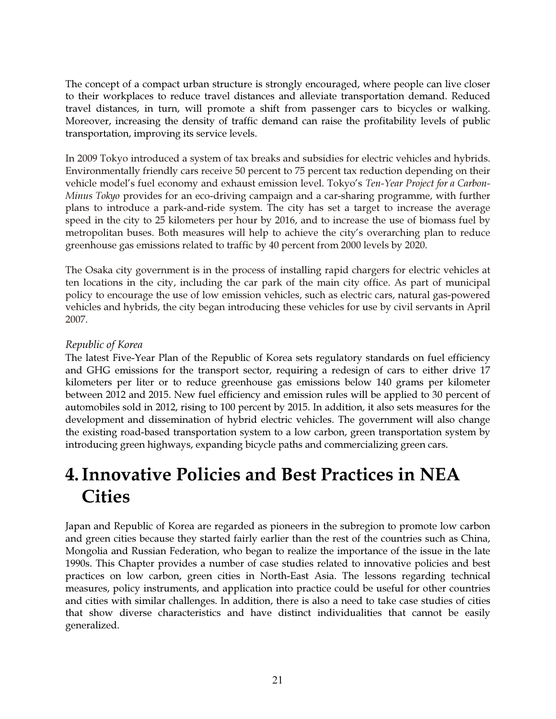The concept of a compact urban structure is strongly encouraged, where people can live closer to their workplaces to reduce travel distances and alleviate transportation demand. Reduced travel distances, in turn, will promote a shift from passenger cars to bicycles or walking. Moreover, increasing the density of traffic demand can raise the profitability levels of public transportation, improving its service levels.

In 2009 Tokyo introduced a system of tax breaks and subsidies for electric vehicles and hybrids. Environmentally friendly cars receive 50 percent to 75 percent tax reduction depending on their vehicle model's fuel economy and exhaust emission level. Tokyo's *Ten-Year Project for a Carbon-Minus Tokyo* provides for an eco-driving campaign and a car-sharing programme, with further plans to introduce a park-and-ride system. The city has set a target to increase the average speed in the city to 25 kilometers per hour by 2016, and to increase the use of biomass fuel by metropolitan buses. Both measures will help to achieve the city's overarching plan to reduce greenhouse gas emissions related to traffic by 40 percent from 2000 levels by 2020.

The Osaka city government is in the process of installing rapid chargers for electric vehicles at ten locations in the city, including the car park of the main city office. As part of municipal policy to encourage the use of low emission vehicles, such as electric cars, natural gas-powered vehicles and hybrids, the city began introducing these vehicles for use by civil servants in April 2007.

#### Republic of Korea

The latest Five-Year Plan of the Republic of Korea sets regulatory standards on fuel efficiency and GHG emissions for the transport sector, requiring a redesign of cars to either drive 17 kilometers per liter or to reduce greenhouse gas emissions below 140 grams per kilometer between 2012 and 2015. New fuel efficiency and emission rules will be applied to 30 percent of automobiles sold in 2012, rising to 100 percent by 2015. In addition, it also sets measures for the development and dissemination of hybrid electric vehicles. The government will also change the existing road-based transportation system to a low carbon, green transportation system by introducing green highways, expanding bicycle paths and commercializing green cars.

# 4.Innovative Policies and Best Practices in NEA **Cities**

Japan and Republic of Korea are regarded as pioneers in the subregion to promote low carbon and green cities because they started fairly earlier than the rest of the countries such as China, Mongolia and Russian Federation, who began to realize the importance of the issue in the late 1990s. This Chapter provides a number of case studies related to innovative policies and best practices on low carbon, green cities in North-East Asia. The lessons regarding technical measures, policy instruments, and application into practice could be useful for other countries and cities with similar challenges. In addition, there is also a need to take case studies of cities that show diverse characteristics and have distinct individualities that cannot be easily generalized.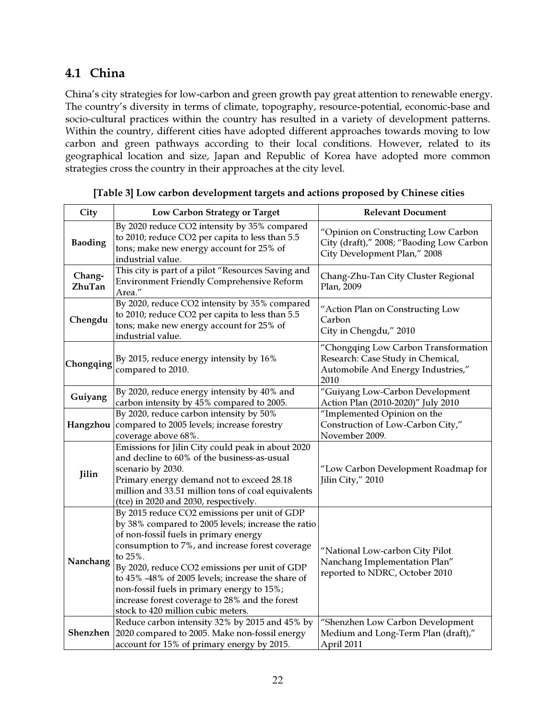# 4.1 China

China's city strategies for low-carbon and green growth pay great attention to renewable energy. The country's diversity in terms of climate, topography, resource-potential, economic-base and socio-cultural practices within the country has resulted in a variety of development patterns. Within the country, different cities have adopted different approaches towards moving to low carbon and green pathways according to their local conditions. However, related to its geographical location and size, Japan and Republic of Korea have adopted more common strategies cross the country in their approaches at the city level.

| City             | Low Carbon Strategy or Target                                                                                                                                                                                                                                                                                                                                                                                                                         | <b>Relevant Document</b>                                                                                        |  |
|------------------|-------------------------------------------------------------------------------------------------------------------------------------------------------------------------------------------------------------------------------------------------------------------------------------------------------------------------------------------------------------------------------------------------------------------------------------------------------|-----------------------------------------------------------------------------------------------------------------|--|
| <b>Baoding</b>   | By 2020 reduce CO2 intensity by 35% compared<br>to 2010; reduce CO2 per capita to less than 5.5<br>tons; make new energy account for 25% of<br>industrial value.                                                                                                                                                                                                                                                                                      | "Opinion on Constructing Low Carbon<br>City (draft)," 2008; "Baoding Low Carbon<br>City Development Plan," 2008 |  |
| Chang-<br>ZhuTan | This city is part of a pilot "Resources Saving and<br><b>Environment Friendly Comprehensive Reform</b><br>Area."                                                                                                                                                                                                                                                                                                                                      | Chang-Zhu-Tan City Cluster Regional<br>Plan, 2009                                                               |  |
| Chengdu          | By 2020, reduce CO2 intensity by 35% compared<br>to 2010; reduce CO2 per capita to less than 5.5<br>tons; make new energy account for 25% of<br>industrial value.                                                                                                                                                                                                                                                                                     | "Action Plan on Constructing Low<br>Carbon<br>City in Chengdu," 2010                                            |  |
| Chongqing        | "Chongqing Low Carbon Transformation<br>Research: Case Study in Chemical,<br>By 2015, reduce energy intensity by 16%<br>Automobile And Energy Industries,"<br>compared to 2010.<br>2010                                                                                                                                                                                                                                                               |                                                                                                                 |  |
| Guiyang          | By 2020, reduce energy intensity by 40% and<br>carbon intensity by 45% compared to 2005.                                                                                                                                                                                                                                                                                                                                                              | "Guiyang Low-Carbon Development<br>Action Plan (2010-2020)" July 2010                                           |  |
| Hangzhou         | By 2020, reduce carbon intensity by 50%<br>compared to 2005 levels; increase forestry<br>coverage above 68%.                                                                                                                                                                                                                                                                                                                                          | "Implemented Opinion on the<br>Construction of Low-Carbon City,"<br>November 2009.                              |  |
| Jilin            | Emissions for Jilin City could peak in about 2020<br>and decline to 60% of the business-as-usual<br>scenario by 2030.<br>Primary energy demand not to exceed 28.18<br>million and 33.51 million tons of coal equivalents<br>(tce) in 2020 and 2030, respectively.                                                                                                                                                                                     | "Low Carbon Development Roadmap for<br>Jilin City," 2010                                                        |  |
| Nanchang         | By 2015 reduce CO2 emissions per unit of GDP<br>by 38% compared to 2005 levels; increase the ratio<br>of non-fossil fuels in primary energy<br>consumption to 7%, and increase forest coverage<br>to 25%.<br>By 2020, reduce CO2 emissions per unit of GDP<br>to 45% -48% of 2005 levels; increase the share of<br>non-fossil fuels in primary energy to 15%;<br>increase forest coverage to 28% and the forest<br>stock to 420 million cubic meters. | "National Low-carbon City Pilot<br>Nanchang Implementation Plan"<br>reported to NDRC, October 2010              |  |
| Shenzhen         | Reduce carbon intensity 32% by 2015 and 45% by<br>2020 compared to 2005. Make non-fossil energy<br>account for 15% of primary energy by 2015.                                                                                                                                                                                                                                                                                                         | "Shenzhen Low Carbon Development<br>Medium and Long-Term Plan (draft),"<br>April 2011                           |  |

[Table 3] Low carbon development targets and actions proposed by Chinese cities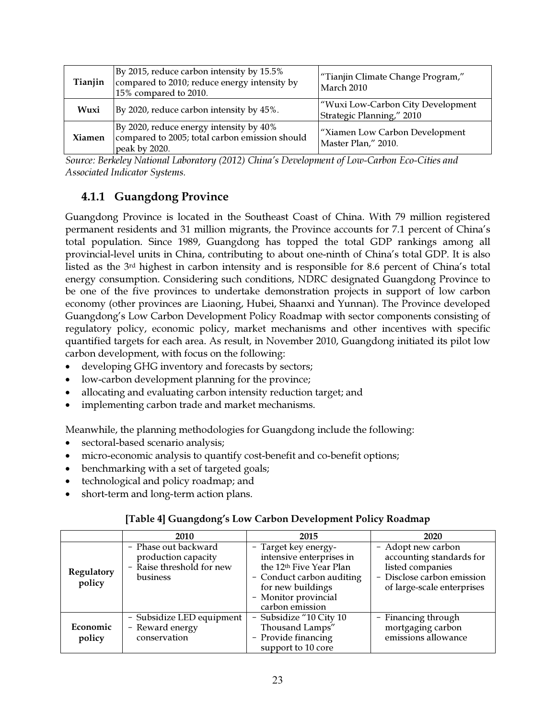| Tianjin       | By 2015, reduce carbon intensity by 15.5%<br>compared to 2010; reduce energy intensity by<br>15% compared to 2010. | "Tianjin Climate Change Program,"<br>March 2010                |
|---------------|--------------------------------------------------------------------------------------------------------------------|----------------------------------------------------------------|
| Wuxi          | By 2020, reduce carbon intensity by 45%.                                                                           | "Wuxi Low-Carbon City Development<br>Strategic Planning," 2010 |
| <b>Xiamen</b> | By 2020, reduce energy intensity by 40%<br>compared to 2005; total carbon emission should<br>peak by 2020.         | "Xiamen Low Carbon Development<br>Master Plan," 2010.          |

*Source: Berkeley National Laboratory (2012) China's Development of Low-Carbon Eco-Cities and Associated Indicator Systems.* 

# 4.1.1 Guangdong Province

Guangdong Province is located in the Southeast Coast of China. With 79 million registered permanent residents and 31 million migrants, the Province accounts for 7.1 percent of China's total population. Since 1989, Guangdong has topped the total GDP rankings among all provincial-level units in China, contributing to about one-ninth of China's total GDP. It is also listed as the 3rd highest in carbon intensity and is responsible for 8.6 percent of China's total energy consumption. Considering such conditions, NDRC designated Guangdong Province to be one of the five provinces to undertake demonstration projects in support of low carbon economy (other provinces are Liaoning, Hubei, Shaanxi and Yunnan). The Province developed Guangdong's Low Carbon Development Policy Roadmap with sector components consisting of regulatory policy, economic policy, market mechanisms and other incentives with specific quantified targets for each area. As result, in November 2010, Guangdong initiated its pilot low carbon development, with focus on the following:

- developing GHG inventory and forecasts by sectors;
- low-carbon development planning for the province;
- allocating and evaluating carbon intensity reduction target; and
- implementing carbon trade and market mechanisms.

Meanwhile, the planning methodologies for Guangdong include the following:

- sectoral-based scenario analysis;
- micro-economic analysis to quantify cost-benefit and co-benefit options;
- benchmarking with a set of targeted goals;
- technological and policy roadmap; and
- short-term and long-term action plans.

|  |  | [Table 4] Guangdong's Low Carbon Development Policy Roadmap |  |
|--|--|-------------------------------------------------------------|--|
|--|--|-------------------------------------------------------------|--|

|                      | 2010                                                                                 | 2015                                                                                                                                                                                 | 2020                                                                                                                           |  |
|----------------------|--------------------------------------------------------------------------------------|--------------------------------------------------------------------------------------------------------------------------------------------------------------------------------------|--------------------------------------------------------------------------------------------------------------------------------|--|
| Regulatory<br>policy | - Phase out backward<br>production capacity<br>- Raise threshold for new<br>business | - Target key energy-<br>intensive enterprises in<br>the 12 <sup>th</sup> Five Year Plan<br>- Conduct carbon auditing<br>for new buildings<br>- Monitor provincial<br>carbon emission | - Adopt new carbon<br>accounting standards for<br>listed companies<br>- Disclose carbon emission<br>of large-scale enterprises |  |
| Economic<br>policy   | - Subsidize LED equipment<br>- Reward energy<br>conservation                         | - Subsidize "10 City 10<br>Thousand Lamps"<br>- Provide financing<br>support to 10 core                                                                                              | - Financing through<br>mortgaging carbon<br>emissions allowance                                                                |  |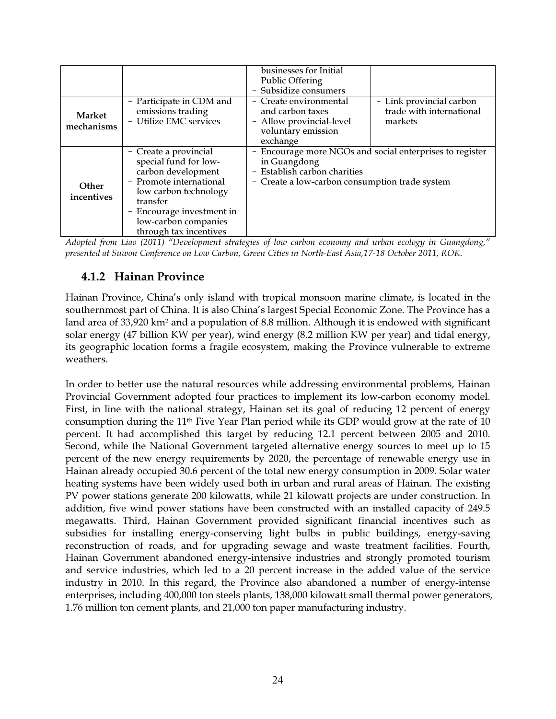| <b>Market</b><br>mechanisms | - Participate in CDM and<br>emissions trading<br>- Utilize EMC services                                                                                                                                             | businesses for Initial<br><b>Public Offering</b><br>- Subsidize consumers<br>- Create environmental<br>and carbon taxes<br>- Allow provincial-level<br>voluntary emission<br>exchange | - Link provincial carbon<br>trade with international<br>markets |
|-----------------------------|---------------------------------------------------------------------------------------------------------------------------------------------------------------------------------------------------------------------|---------------------------------------------------------------------------------------------------------------------------------------------------------------------------------------|-----------------------------------------------------------------|
| <b>Other</b><br>incentives  | - Create a provincial<br>special fund for low-<br>carbon development<br>- Promote international<br>low carbon technology<br>transfer<br>- Encourage investment in<br>low-carbon companies<br>through tax incentives | Encourage more NGOs and social enterprises to register<br>-<br>in Guangdong<br>- Establish carbon charities<br>- Create a low-carbon consumption trade system                         |                                                                 |

*Adopted from Liao (2011) "Development strategies of low carbon economy and urban ecology in Guangdong," presented at Suwon Conference on Low Carbon, Green Cities in North-East Asia,17-18 October 2011, ROK.* 

# 4.1.2 Hainan Province

Hainan Province, China's only island with tropical monsoon marine climate, is located in the southernmost part of China. It is also China's largest Special Economic Zone. The Province has a land area of 33,920 km<sup>2</sup> and a population of 8.8 million. Although it is endowed with significant solar energy (47 billion KW per year), wind energy (8.2 million KW per year) and tidal energy, its geographic location forms a fragile ecosystem, making the Province vulnerable to extreme weathers.

In order to better use the natural resources while addressing environmental problems, Hainan Provincial Government adopted four practices to implement its low-carbon economy model. First, in line with the national strategy, Hainan set its goal of reducing 12 percent of energy consumption during the 11th Five Year Plan period while its GDP would grow at the rate of 10 percent. It had accomplished this target by reducing 12.1 percent between 2005 and 2010. Second, while the National Government targeted alternative energy sources to meet up to 15 percent of the new energy requirements by 2020, the percentage of renewable energy use in Hainan already occupied 30.6 percent of the total new energy consumption in 2009. Solar water heating systems have been widely used both in urban and rural areas of Hainan. The existing PV power stations generate 200 kilowatts, while 21 kilowatt projects are under construction. In addition, five wind power stations have been constructed with an installed capacity of 249.5 megawatts. Third, Hainan Government provided significant financial incentives such as subsidies for installing energy-conserving light bulbs in public buildings, energy-saving reconstruction of roads, and for upgrading sewage and waste treatment facilities. Fourth, Hainan Government abandoned energy-intensive industries and strongly promoted tourism and service industries, which led to a 20 percent increase in the added value of the service industry in 2010. In this regard, the Province also abandoned a number of energy-intense enterprises, including 400,000 ton steels plants, 138,000 kilowatt small thermal power generators, 1.76 million ton cement plants, and 21,000 ton paper manufacturing industry.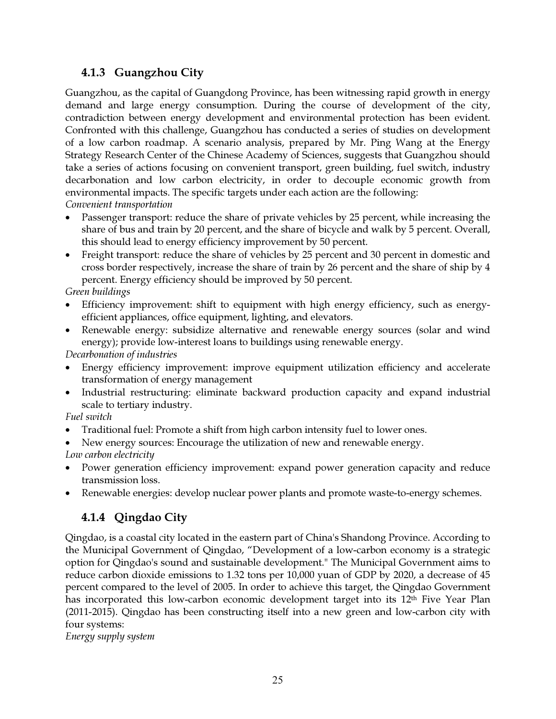# 4.1.3 Guangzhou City

Guangzhou, as the capital of Guangdong Province, has been witnessing rapid growth in energy demand and large energy consumption. During the course of development of the city, contradiction between energy development and environmental protection has been evident. Confronted with this challenge, Guangzhou has conducted a series of studies on development of a low carbon roadmap. A scenario analysis, prepared by Mr. Ping Wang at the Energy Strategy Research Center of the Chinese Academy of Sciences, suggests that Guangzhou should take a series of actions focusing on convenient transport, green building, fuel switch, industry decarbonation and low carbon electricity, in order to decouple economic growth from environmental impacts. The specific targets under each action are the following: *Convenient transportation* 

- Passenger transport: reduce the share of private vehicles by 25 percent, while increasing the share of bus and train by 20 percent, and the share of bicycle and walk by 5 percent. Overall, this should lead to energy efficiency improvement by 50 percent.
- Freight transport: reduce the share of vehicles by 25 percent and 30 percent in domestic and cross border respectively, increase the share of train by 26 percent and the share of ship by 4 percent. Energy efficiency should be improved by 50 percent.

*Green buildings* 

- Efficiency improvement: shift to equipment with high energy efficiency, such as energyefficient appliances, office equipment, lighting, and elevators.
- Renewable energy: subsidize alternative and renewable energy sources (solar and wind energy); provide low-interest loans to buildings using renewable energy.

*Decarbonation of industries* 

- Energy efficiency improvement: improve equipment utilization efficiency and accelerate transformation of energy management
- Industrial restructuring: eliminate backward production capacity and expand industrial scale to tertiary industry.

*Fuel switch* 

- Traditional fuel: Promote a shift from high carbon intensity fuel to lower ones.
- New energy sources: Encourage the utilization of new and renewable energy.

*Low carbon electricity* 

- Power generation efficiency improvement: expand power generation capacity and reduce transmission loss.
- Renewable energies: develop nuclear power plants and promote waste-to-energy schemes.

# 4.1.4 Qingdao City

Qingdao, is a coastal city located in the eastern part of China's Shandong Province. According to the Municipal Government of Qingdao, "Development of a low-carbon economy is a strategic option for Qingdao's sound and sustainable development." The Municipal Government aims to reduce carbon dioxide emissions to 1.32 tons per 10,000 yuan of GDP by 2020, a decrease of 45 percent compared to the level of 2005. In order to achieve this target, the Qingdao Government has incorporated this low-carbon economic development target into its 12th Five Year Plan (2011-2015). Qingdao has been constructing itself into a new green and low-carbon city with four systems:

*Energy supply system*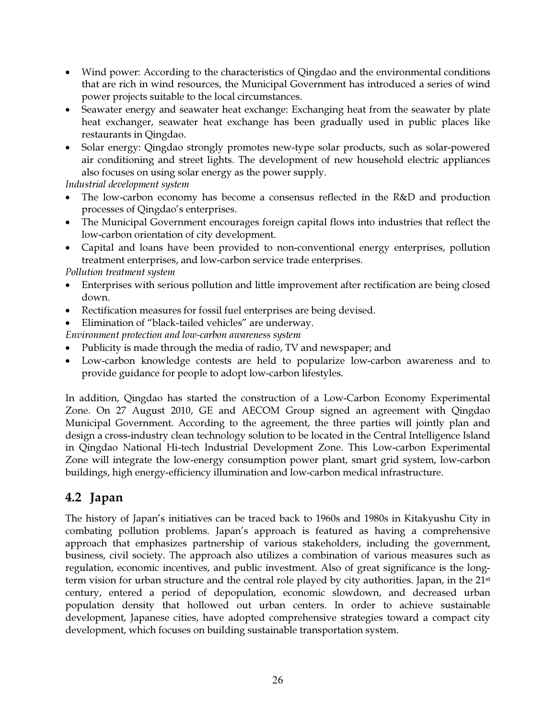- Wind power: According to the characteristics of Qingdao and the environmental conditions that are rich in wind resources, the Municipal Government has introduced a series of wind power projects suitable to the local circumstances.
- Seawater energy and seawater heat exchange: Exchanging heat from the seawater by plate heat exchanger, seawater heat exchange has been gradually used in public places like restaurants in Qingdao.
- Solar energy: Qingdao strongly promotes new-type solar products, such as solar-powered air conditioning and street lights. The development of new household electric appliances also focuses on using solar energy as the power supply.

*Industrial development system* 

- The low-carbon economy has become a consensus reflected in the R&D and production processes of Qingdao's enterprises.
- The Municipal Government encourages foreign capital flows into industries that reflect the low-carbon orientation of city development.
- Capital and loans have been provided to non-conventional energy enterprises, pollution treatment enterprises, and low-carbon service trade enterprises.

*Pollution treatment system* 

- Enterprises with serious pollution and little improvement after rectification are being closed down.
- Rectification measures for fossil fuel enterprises are being devised.
- Elimination of "black-tailed vehicles" are underway.

*Environment protection and low-carbon awareness system* 

- Publicity is made through the media of radio, TV and newspaper; and
- Low-carbon knowledge contests are held to popularize low-carbon awareness and to provide guidance for people to adopt low-carbon lifestyles.

In addition, Qingdao has started the construction of a Low-Carbon Economy Experimental Zone. On 27 August 2010, GE and AECOM Group signed an agreement with Qingdao Municipal Government. According to the agreement, the three parties will jointly plan and design a cross-industry clean technology solution to be located in the Central Intelligence Island in Qingdao National Hi-tech Industrial Development Zone. This Low-carbon Experimental Zone will integrate the low-energy consumption power plant, smart grid system, low-carbon buildings, high energy-efficiency illumination and low-carbon medical infrastructure.

# 4.2 Japan

The history of Japan's initiatives can be traced back to 1960s and 1980s in Kitakyushu City in combating pollution problems. Japan's approach is featured as having a comprehensive approach that emphasizes partnership of various stakeholders, including the government, business, civil society. The approach also utilizes a combination of various measures such as regulation, economic incentives, and public investment. Also of great significance is the longterm vision for urban structure and the central role played by city authorities. Japan, in the 21<sup>st</sup> century, entered a period of depopulation, economic slowdown, and decreased urban population density that hollowed out urban centers. In order to achieve sustainable development, Japanese cities, have adopted comprehensive strategies toward a compact city development, which focuses on building sustainable transportation system.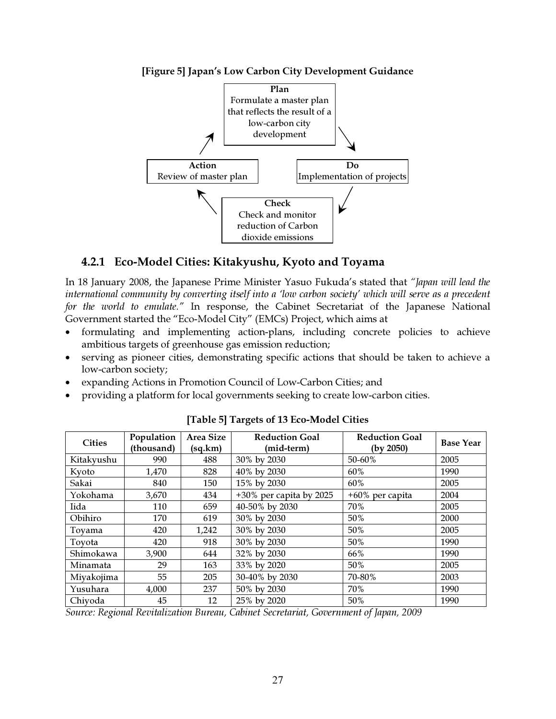

[Figure 5] Japan's Low Carbon City Development Guidance

### 4.2.1 Eco-Model Cities: Kitakyushu, Kyoto and Toyama

In 18 January 2008, the Japanese Prime Minister Yasuo Fukuda's stated that *"Japan will lead the international community by converting itself into a 'low carbon society' which will serve as a precedent for the world to emulate."* In response, the Cabinet Secretariat of the Japanese National Government started the "Eco-Model City" (EMCs) Project, which aims at

- formulating and implementing action-plans, including concrete policies to achieve ambitious targets of greenhouse gas emission reduction;
- serving as pioneer cities, demonstrating specific actions that should be taken to achieve a low-carbon society;
- expanding Actions in Promotion Council of Low-Carbon Cities; and
- providing a platform for local governments seeking to create low-carbon cities.

| <b>Cities</b> | Population<br>(thousand) | Area Size<br>(sq.km) | <b>Reduction Goal</b><br>(mid-term) | <b>Reduction Goal</b><br>(by 2050) | <b>Base Year</b> |
|---------------|--------------------------|----------------------|-------------------------------------|------------------------------------|------------------|
| Kitakyushu    | 990                      | 488                  | 30% by 2030                         | 50-60%                             | 2005             |
| Kyoto         | 1.470                    | 828                  | 40% by 2030                         | 60%                                | 1990             |
| Sakai         | 840                      | 150                  | 15% by 2030                         | 60%                                | 2005             |
| Yokohama      | 3,670                    | 434                  | $+30\%$ per capita by 2025          | $+60\%$ per capita                 | 2004             |
| Iida          | 110                      | 659                  | 40-50% by 2030                      | 70%                                | 2005             |
| Obihiro       | 170                      | 619                  | 30% by 2030                         | 50%                                | 2000             |
| Toyama        | 420                      | 1,242                | 30% by 2030                         | 50%                                | 2005             |
| Toyota        | 420                      | 918                  | 30% by 2030                         | 50%                                | 1990             |
| Shimokawa     | 3,900                    | 644                  | 32% by 2030                         | 66%                                | 1990             |
| Minamata      | 29                       | 163                  | 33% by 2020                         | 50%                                | 2005             |
| Miyakojima    | 55                       | 205                  | 30-40% by 2030                      | 70-80%                             | 2003             |
| Yusuhara      | 4,000                    | 237                  | 50% by 2030                         | 70%                                | 1990             |
| Chiyoda       | 45                       | 12                   | 25% by 2020                         | 50%                                | 1990             |

[Table 5] Targets of 13 Eco-Model Cities

*Source: Regional Revitalization Bureau, Cabinet Secretariat, Government of Japan, 2009*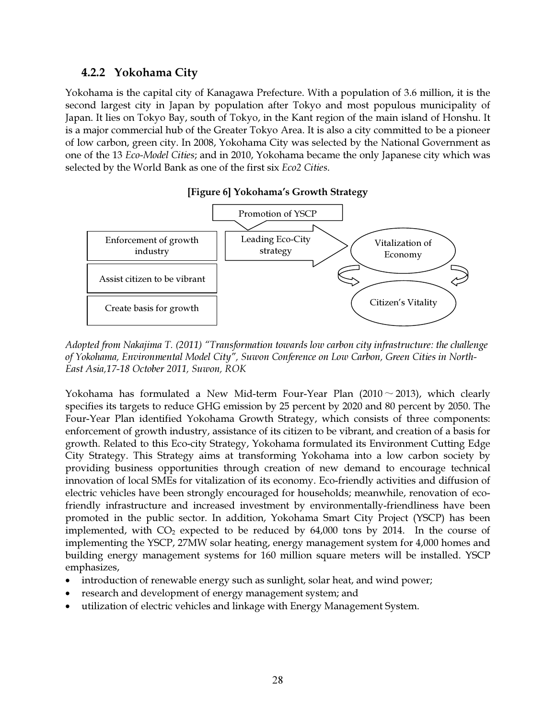#### 4.2.2 Yokohama City

Yokohama is the capital city of Kanagawa Prefecture. With a population of 3.6 million, it is the second largest city in Japan by population after Tokyo and most populous municipality of Japan. It lies on Tokyo Bay, south of Tokyo, in the Kant region of the main island of Honshu. It is a major commercial hub of the Greater Tokyo Area. It is also a city committed to be a pioneer of low carbon, green city. In 2008, Yokohama City was selected by the National Government as one of the 13 *Eco-Model Cities*; and in 2010, Yokohama became the only Japanese city which was selected by the World Bank as one of the first six *Eco2 Cities*.



#### [Figure 6] Yokohama's Growth Strategy

*Adopted from Nakajima T. (2011) "Transformation towards low carbon city infrastructure: the challenge of Yokohama, Environmental Model City", Suwon Conference on Low Carbon, Green Cities in North-East Asia,17-18 October 2011, Suwon, ROK* 

Yokohama has formulated a New Mid-term Four-Year Plan  $(2010 \sim 2013)$ , which clearly specifies its targets to reduce GHG emission by 25 percent by 2020 and 80 percent by 2050. The Four-Year Plan identified Yokohama Growth Strategy, which consists of three components: enforcement of growth industry, assistance of its citizen to be vibrant, and creation of a basis for growth. Related to this Eco-city Strategy, Yokohama formulated its Environment Cutting Edge City Strategy. This Strategy aims at transforming Yokohama into a low carbon society by providing business opportunities through creation of new demand to encourage technical innovation of local SMEs for vitalization of its economy. Eco-friendly activities and diffusion of electric vehicles have been strongly encouraged for households; meanwhile, renovation of ecofriendly infrastructure and increased investment by environmentally-friendliness have been promoted in the public sector. In addition, Yokohama Smart City Project (YSCP) has been implemented, with  $CO<sub>2</sub>$  expected to be reduced by  $64,000$  tons by 2014. In the course of implementing the YSCP, 27MW solar heating, energy management system for 4,000 homes and building energy management systems for 160 million square meters will be installed. YSCP emphasizes,

- introduction of renewable energy such as sunlight, solar heat, and wind power;
- research and development of energy management system; and
- utilization of electric vehicles and linkage with Energy Management System.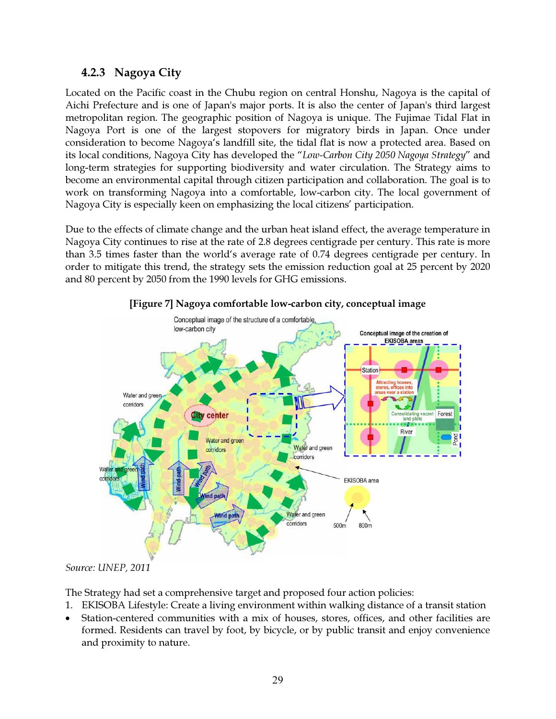### 4.2.3 Nagoya City

Located on the Pacific coast in the Chubu region on central Honshu, Nagoya is the capital of Aichi Prefecture and is one of Japan's major ports. It is also the center of Japan's third largest metropolitan region. The geographic position of Nagoya is unique. The Fujimae Tidal Flat in Nagoya Port is one of the largest stopovers for migratory birds in Japan. Once under consideration to become Nagoya's landfill site, the tidal flat is now a protected area. Based on its local conditions, Nagoya City has developed the "*Low-Carbon City 2050 Nagoya Strategy*" and long-term strategies for supporting biodiversity and water circulation. The Strategy aims to become an environmental capital through citizen participation and collaboration. The goal is to work on transforming Nagoya into a comfortable, low-carbon city. The local government of Nagoya City is especially keen on emphasizing the local citizens' participation.

Due to the effects of climate change and the urban heat island effect, the average temperature in Nagoya City continues to rise at the rate of 2.8 degrees centigrade per century. This rate is more than 3.5 times faster than the world's average rate of 0.74 degrees centigrade per century. In order to mitigate this trend, the strategy sets the emission reduction goal at 25 percent by 2020 and 80 percent by 2050 from the 1990 levels for GHG emissions.



[Figure 7] Nagoya comfortable low-carbon city, conceptual image

*Source: UNEP, 2011* 

The Strategy had set a comprehensive target and proposed four action policies:

- 1. EKISOBA Lifestyle: Create a living environment within walking distance of a transit station
- Station-centered communities with a mix of houses, stores, offices, and other facilities are formed. Residents can travel by foot, by bicycle, or by public transit and enjoy convenience and proximity to nature.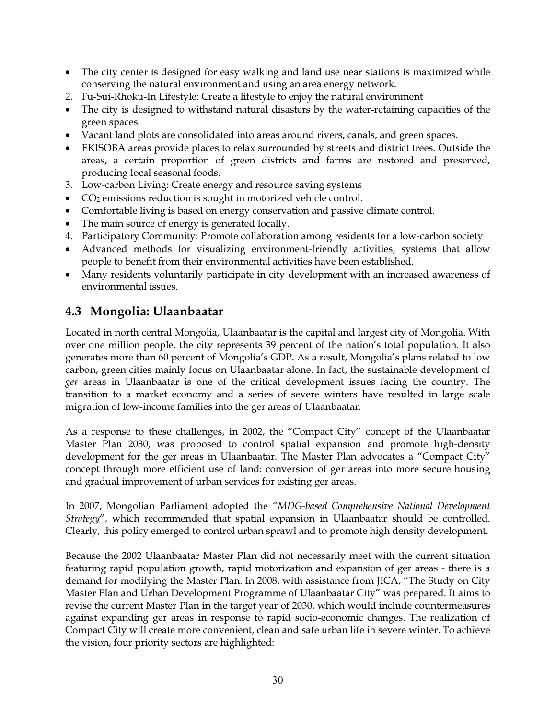- The city center is designed for easy walking and land use near stations is maximized while conserving the natural environment and using an area energy network.
- 2. Fu-Sui-Rhoku-In Lifestyle: Create a lifestyle to enjoy the natural environment
- The city is designed to withstand natural disasters by the water-retaining capacities of the green spaces.
- Vacant land plots are consolidated into areas around rivers, canals, and green spaces.
- EKISOBA areas provide places to relax surrounded by streets and district trees. Outside the areas, a certain proportion of green districts and farms are restored and preserved, producing local seasonal foods.
- 3. Low-carbon Living: Create energy and resource saving systems
- $\bullet$   $CO<sub>2</sub>$  emissions reduction is sought in motorized vehicle control.
- Comfortable living is based on energy conservation and passive climate control.
- The main source of energy is generated locally.
- 4. Participatory Community: Promote collaboration among residents for a low-carbon society
- Advanced methods for visualizing environment-friendly activities, systems that allow people to benefit from their environmental activities have been established.
- Many residents voluntarily participate in city development with an increased awareness of environmental issues.

# 4.3 Mongolia: Ulaanbaatar

Located in north central Mongolia, Ulaanbaatar is the capital and largest city of Mongolia. With over one million people, the city represents 39 percent of the nation's total population. It also generates more than 60 percent of Mongolia's GDP. As a result, Mongolia's plans related to low carbon, green cities mainly focus on Ulaanbaatar alone. In fact, the sustainable development of *ger* areas in Ulaanbaatar is one of the critical development issues facing the country. The transition to a market economy and a series of severe winters have resulted in large scale migration of low-income families into the ger areas of Ulaanbaatar.

As a response to these challenges, in 2002, the "Compact City" concept of the Ulaanbaatar Master Plan 2030, was proposed to control spatial expansion and promote high-density development for the ger areas in Ulaanbaatar. The Master Plan advocates a "Compact City" concept through more efficient use of land: conversion of ger areas into more secure housing and gradual improvement of urban services for existing ger areas.

In 2007, Mongolian Parliament adopted the "*MDG-based Comprehensive National Development Strategy*", which recommended that spatial expansion in Ulaanbaatar should be controlled. Clearly, this policy emerged to control urban sprawl and to promote high density development.

Because the 2002 Ulaanbaatar Master Plan did not necessarily meet with the current situation featuring rapid population growth, rapid motorization and expansion of ger areas - there is a demand for modifying the Master Plan. In 2008, with assistance from JICA, "The Study on City Master Plan and Urban Development Programme of Ulaanbaatar City" was prepared. It aims to revise the current Master Plan in the target year of 2030, which would include countermeasures against expanding ger areas in response to rapid socio-economic changes. The realization of Compact City will create more convenient, clean and safe urban life in severe winter. To achieve the vision, four priority sectors are highlighted: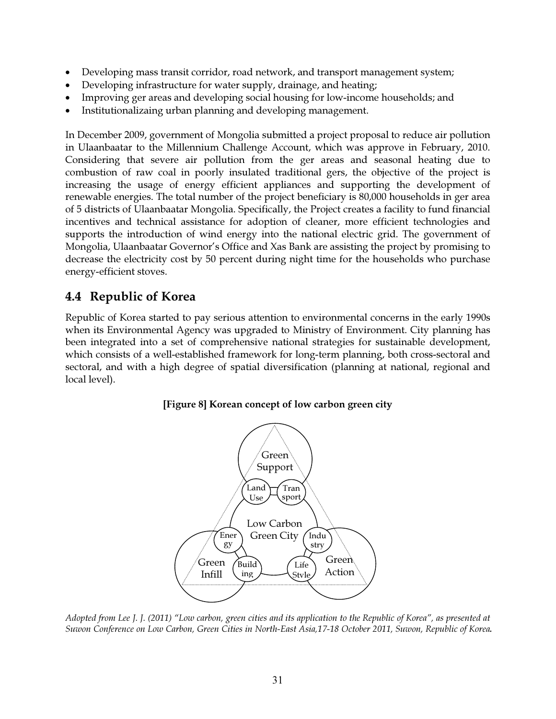- Developing mass transit corridor, road network, and transport management system;
- Developing infrastructure for water supply, drainage, and heating;
- Improving ger areas and developing social housing for low-income households; and
- Institutionalizaing urban planning and developing management.

In December 2009, government of Mongolia submitted a project proposal to reduce air pollution in Ulaanbaatar to the Millennium Challenge Account, which was approve in February, 2010. Considering that severe air pollution from the ger areas and seasonal heating due to combustion of raw coal in poorly insulated traditional gers, the objective of the project is increasing the usage of energy efficient appliances and supporting the development of renewable energies. The total number of the project beneficiary is 80,000 households in ger area of 5 districts of Ulaanbaatar Mongolia. Specifically, the Project creates a facility to fund financial incentives and technical assistance for adoption of cleaner, more efficient technologies and supports the introduction of wind energy into the national electric grid. The government of Mongolia, Ulaanbaatar Governor's Office and Xas Bank are assisting the project by promising to decrease the electricity cost by 50 percent during night time for the households who purchase energy-efficient stoves.

# 4.4 Republic of Korea

Republic of Korea started to pay serious attention to environmental concerns in the early 1990s when its Environmental Agency was upgraded to Ministry of Environment. City planning has been integrated into a set of comprehensive national strategies for sustainable development, which consists of a well-established framework for long-term planning, both cross-sectoral and sectoral, and with a high degree of spatial diversification (planning at national, regional and local level).



[Figure 8] Korean concept of low carbon green city

*Adopted from Lee J. J. (2011) "Low carbon, green cities and its application to the Republic of Korea", as presented at Suwon Conference on Low Carbon, Green Cities in North-East Asia,17-18 October 2011, Suwon, Republic of Korea*.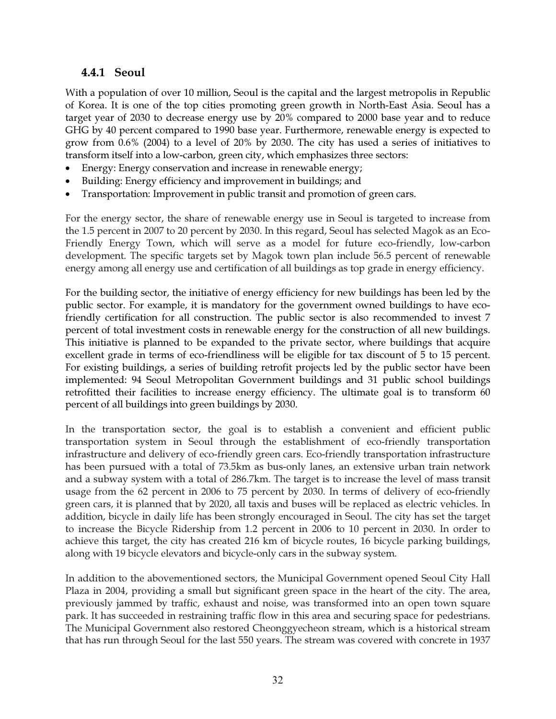#### 4.4.1 Seoul

With a population of over 10 million, Seoul is the capital and the largest metropolis in Republic of Korea. It is one of the top cities promoting green growth in North-East Asia. Seoul has a target year of 2030 to decrease energy use by 20% compared to 2000 base year and to reduce GHG by 40 percent compared to 1990 base year. Furthermore, renewable energy is expected to grow from 0.6% (2004) to a level of 20% by 2030. The city has used a series of initiatives to transform itself into a low-carbon, green city, which emphasizes three sectors:

- Energy: Energy conservation and increase in renewable energy;
- Building: Energy efficiency and improvement in buildings; and
- Transportation: Improvement in public transit and promotion of green cars.

For the energy sector, the share of renewable energy use in Seoul is targeted to increase from the 1.5 percent in 2007 to 20 percent by 2030. In this regard, Seoul has selected Magok as an Eco-Friendly Energy Town, which will serve as a model for future eco-friendly, low-carbon development. The specific targets set by Magok town plan include 56.5 percent of renewable energy among all energy use and certification of all buildings as top grade in energy efficiency.

For the building sector, the initiative of energy efficiency for new buildings has been led by the public sector. For example, it is mandatory for the government owned buildings to have ecofriendly certification for all construction. The public sector is also recommended to invest 7 percent of total investment costs in renewable energy for the construction of all new buildings. This initiative is planned to be expanded to the private sector, where buildings that acquire excellent grade in terms of eco-friendliness will be eligible for tax discount of 5 to 15 percent. For existing buildings, a series of building retrofit projects led by the public sector have been implemented: 94 Seoul Metropolitan Government buildings and 31 public school buildings retrofitted their facilities to increase energy efficiency. The ultimate goal is to transform 60 percent of all buildings into green buildings by 2030.

In the transportation sector, the goal is to establish a convenient and efficient public transportation system in Seoul through the establishment of eco-friendly transportation infrastructure and delivery of eco-friendly green cars. Eco-friendly transportation infrastructure has been pursued with a total of 73.5km as bus-only lanes, an extensive urban train network and a subway system with a total of 286.7km. The target is to increase the level of mass transit usage from the 62 percent in 2006 to 75 percent by 2030. In terms of delivery of eco-friendly green cars, it is planned that by 2020, all taxis and buses will be replaced as electric vehicles. In addition, bicycle in daily life has been strongly encouraged in Seoul. The city has set the target to increase the Bicycle Ridership from 1.2 percent in 2006 to 10 percent in 2030. In order to achieve this target, the city has created 216 km of bicycle routes, 16 bicycle parking buildings, along with 19 bicycle elevators and bicycle-only cars in the subway system.

In addition to the abovementioned sectors, the Municipal Government opened Seoul City Hall Plaza in 2004, providing a small but significant green space in the heart of the city. The area, previously jammed by traffic, exhaust and noise, was transformed into an open town square park. It has succeeded in restraining traffic flow in this area and securing space for pedestrians. The Municipal Government also restored Cheonggyecheon stream, which is a historical stream that has run through Seoul for the last 550 years. The stream was covered with concrete in 1937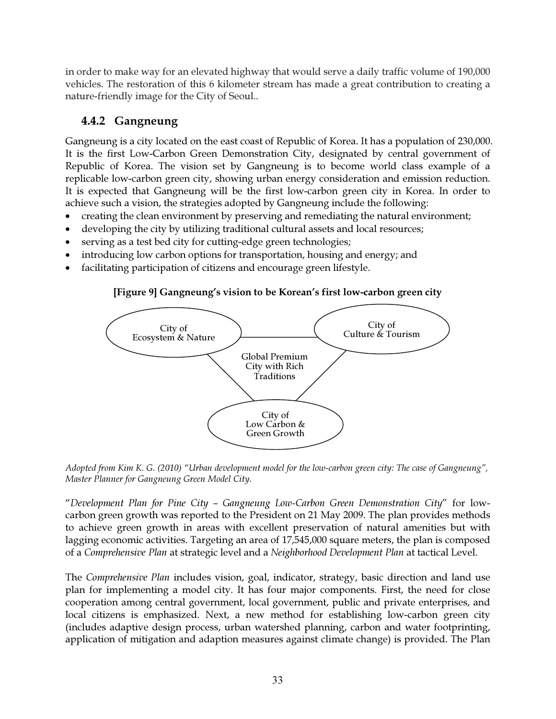in order to make way for an elevated highway that would serve a daily traffic volume of 190,000 vehicles. The restoration of this 6 kilometer stream has made a great contribution to creating a nature-friendly image for the City of Seoul..

### 4.4.2 Gangneung

Gangneung is a city located on the east coast of Republic of Korea. It has a population of 230,000. It is the first Low-Carbon Green Demonstration City, designated by central government of Republic of Korea. The vision set by Gangneung is to become world class example of a replicable low-carbon green city, showing urban energy consideration and emission reduction. It is expected that Gangneung will be the first low-carbon green city in Korea. In order to achieve such a vision, the strategies adopted by Gangneung include the following:

- creating the clean environment by preserving and remediating the natural environment;
- developing the city by utilizing traditional cultural assets and local resources;
- serving as a test bed city for cutting-edge green technologies;
- introducing low carbon options for transportation, housing and energy; and
- facilitating participation of citizens and encourage green lifestyle.

# [Figure 9] Gangneung's vision to be Korean's first low-carbon green city



*Adopted from Kim K. G. (2010) "Urban development model for the low-carbon green city: The case of Gangneung", Master Planner for Gangneung Green Model City.* 

"*Development Plan for Pine City – Gangneung Low-Carbon Green Demonstration City*" for lowcarbon green growth was reported to the President on 21 May 2009. The plan provides methods to achieve green growth in areas with excellent preservation of natural amenities but with lagging economic activities. Targeting an area of 17,545,000 square meters, the plan is composed of a *Comprehensive Plan* at strategic level and a *Neighborhood Development Plan* at tactical Level.

The *Comprehensive Plan* includes vision, goal, indicator, strategy, basic direction and land use plan for implementing a model city. It has four major components. First, the need for close cooperation among central government, local government, public and private enterprises, and local citizens is emphasized. Next, a new method for establishing low-carbon green city (includes adaptive design process, urban watershed planning, carbon and water footprinting, application of mitigation and adaption measures against climate change) is provided. The Plan